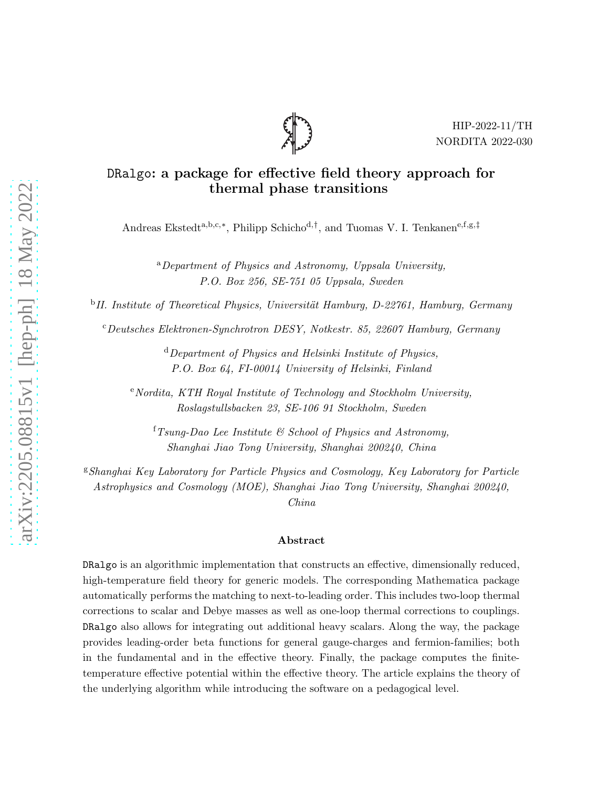

# DRalgo: a package for effective field theory approach for thermal phase transitions

Andreas Ekstedt<sup>a,b,c,∗</sup>, Philipp Schicho<sup>d,†</sup>, and Tuomas V. I. Tenkanen<sup>e,f,g,‡</sup>

<sup>a</sup>Department of Physics and Astronomy, Uppsala University, P.O. Box 256, SE-751 05 Uppsala, Sweden

<sup>b</sup>II. Institute of Theoretical Physics, Universität Hamburg, D-22761, Hamburg, Germany

<sup>c</sup>Deutsches Elektronen-Synchrotron DESY, Notkestr. 85, 22607 Hamburg, Germany

 $d$  Department of Physics and Helsinki Institute of Physics, P.O. Box 64, FI-00014 University of Helsinki, Finland

 $e'$ Nordita, KTH Royal Institute of Technology and Stockholm University, Roslagstullsbacken 23, SE-106 91 Stockholm, Sweden

 ${}^{\text{f}}$ Tsung-Dao Lee Institute & School of Physics and Astronomy, Shanghai Jiao Tong University, Shanghai 200240, China

 $$Shanghai~Key Laboratory$  for Particle Physics and Cosmology, Key Laboratory for Particle Astrophysics and Cosmology (MOE), Shanghai Jiao Tong University, Shanghai 200240,

China

## Abstract

DRalgo is an algorithmic implementation that constructs an effective, dimensionally reduced, high-temperature field theory for generic models. The corresponding Mathematica package automatically performs the matching to next-to-leading order. This includes two-loop thermal corrections to scalar and Debye masses as well as one-loop thermal corrections to couplings. DRalgo also allows for integrating out additional heavy scalars. Along the way, the package provides leading-order beta functions for general gauge-charges and fermion-families; both in the fundamental and in the effective theory. Finally, the package computes the finitetemperature effective potential within the effective theory. The article explains the theory of the underlying algorithm while introducing the software on a pedagogical level.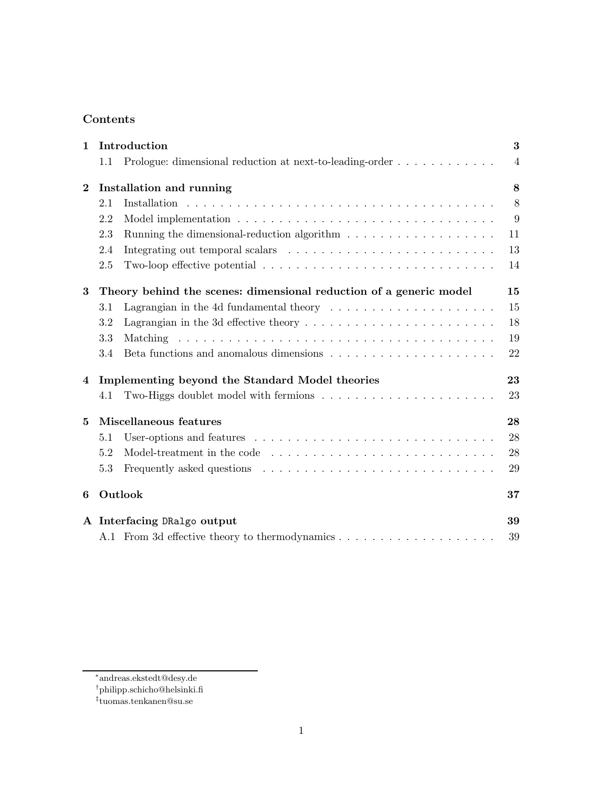# Contents

| $\mathbf{1}$ | Introduction                                                       |                                                                                                      |                |  |
|--------------|--------------------------------------------------------------------|------------------------------------------------------------------------------------------------------|----------------|--|
|              | 1.1                                                                | Prologue: dimensional reduction at next-to-leading-order                                             | $\overline{4}$ |  |
| $\bf{2}$     | Installation and running                                           |                                                                                                      |                |  |
|              | 2.1                                                                |                                                                                                      | 8              |  |
|              | 2.2                                                                |                                                                                                      | 9              |  |
|              | 2.3                                                                |                                                                                                      | 11             |  |
|              | 2.4                                                                |                                                                                                      | 13             |  |
|              | 2.5                                                                | Two-loop effective potential $\ldots \ldots \ldots \ldots \ldots \ldots \ldots \ldots \ldots \ldots$ | 14             |  |
| 3            | Theory behind the scenes: dimensional reduction of a generic model |                                                                                                      |                |  |
|              | 3.1                                                                | Lagrangian in the 4d fundamental theory $\dots \dots \dots \dots \dots \dots \dots$                  | 15             |  |
|              | 3.2                                                                | Lagrangian in the 3d effective theory $\dots \dots \dots \dots \dots \dots \dots \dots \dots$        | 18             |  |
|              | 3.3                                                                |                                                                                                      | 19             |  |
|              | 3.4                                                                | Beta functions and anomalous dimensions $\ldots \ldots \ldots \ldots \ldots \ldots \ldots$           | 22             |  |
| 4            | Implementing beyond the Standard Model theories                    |                                                                                                      |                |  |
|              | 4.1                                                                |                                                                                                      | 23             |  |
| 5            |                                                                    | Miscellaneous features                                                                               | 28             |  |
|              | 5.1                                                                |                                                                                                      | 28             |  |
|              | 5.2                                                                |                                                                                                      | 28             |  |
|              | 5.3                                                                |                                                                                                      | 29             |  |
| 6            |                                                                    | Outlook                                                                                              |                |  |
|              |                                                                    | A Interfacing DRalgo output                                                                          |                |  |
|              |                                                                    |                                                                                                      | 39             |  |

<sup>∗</sup> andreas.ekstedt@desy.de

<sup>†</sup> philipp.schicho@helsinki.fi

<sup>‡</sup> tuomas.tenkanen@su.se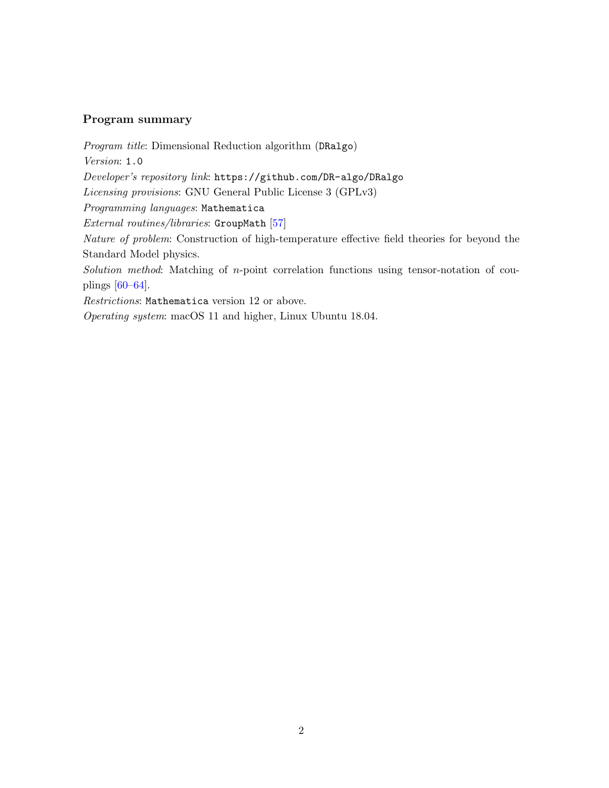# Program summary

Program title: Dimensional Reduction algorithm (DRalgo) Version: 1.0 Developer's repository link: <https://github.com/DR-algo/DRalgo> Licensing provisions: GNU General Public License 3 (GPLv3) Programming languages: Mathematica External routines/libraries: GroupMath [\[57\]](#page-44-0) Nature of problem: Construction of high-temperature effective field theories for beyond the Standard Model physics. Solution method: Matching of n-point correlation functions using tensor-notation of couplings [\[60–](#page-44-1)[64\]](#page-44-2).

Restrictions: Mathematica version 12 or above.

Operating system: macOS 11 and higher, Linux Ubuntu 18.04.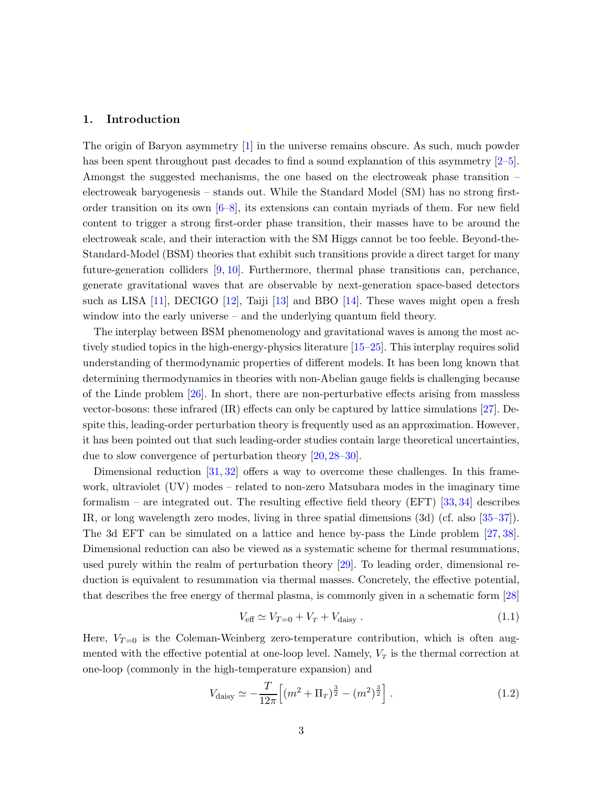## <span id="page-3-0"></span>1. Introduction

The origin of Baryon asymmetry [\[1\]](#page-41-0) in the universe remains obscure. As such, much powder has been spent throughout past decades to find a sound explanation of this asymmetry [\[2–](#page-41-1)[5\]](#page-41-2). Amongst the suggested mechanisms, the one based on the electroweak phase transition – electroweak baryogenesis – stands out. While the Standard Model (SM) has no strong firstorder transition on its own [\[6–](#page-41-3)[8\]](#page-41-4), its extensions can contain myriads of them. For new field content to trigger a strong first-order phase transition, their masses have to be around the electroweak scale, and their interaction with the SM Higgs cannot be too feeble. Beyond-the-Standard-Model (BSM) theories that exhibit such transitions provide a direct target for many future-generation colliders [\[9,](#page-41-5) [10\]](#page-41-6). Furthermore, thermal phase transitions can, perchance, generate gravitational waves that are observable by next-generation space-based detectors such as LISA [\[11\]](#page-41-7), DECIGO [\[12\]](#page-41-8), Taiji [\[13\]](#page-41-9) and BBO [\[14\]](#page-41-10). These waves might open a fresh window into the early universe – and the underlying quantum field theory.

The interplay between BSM phenomenology and gravitational waves is among the most actively studied topics in the high-energy-physics literature [\[15–](#page-41-11)[25\]](#page-42-0). This interplay requires solid understanding of thermodynamic properties of different models. It has been long known that determining thermodynamics in theories with non-Abelian gauge fields is challenging because of the Linde problem [\[26\]](#page-42-1). In short, there are non-perturbative effects arising from massless vector-bosons: these infrared (IR) effects can only be captured by lattice simulations [\[27\]](#page-42-2). Despite this, leading-order perturbation theory is frequently used as an approximation. However, it has been pointed out that such leading-order studies contain large theoretical uncertainties, due to slow convergence of perturbation theory [\[20,](#page-42-3) [28](#page-42-4)[–30\]](#page-42-5).

Dimensional reduction  $[31, 32]$  $[31, 32]$  offers a way to overcome these challenges. In this framework, ultraviolet (UV) modes – related to non-zero Matsubara modes in the imaginary time formalism – are integrated out. The resulting effective field theory (EFT)  $[33, 34]$  $[33, 34]$  describes IR, or long wavelength zero modes, living in three spatial dimensions (3d) (cf. also [\[35](#page-43-0)[–37\]](#page-43-1)). The 3d EFT can be simulated on a lattice and hence by-pass the Linde problem [\[27,](#page-42-2) [38\]](#page-43-2). Dimensional reduction can also be viewed as a systematic scheme for thermal resummations, used purely within the realm of perturbation theory [\[29\]](#page-42-10). To leading order, dimensional reduction is equivalent to resummation via thermal masses. Concretely, the effective potential, that describes the free energy of thermal plasma, is commonly given in a schematic form [\[28\]](#page-42-4)

<span id="page-3-2"></span><span id="page-3-1"></span>
$$
V_{\text{eff}} \simeq V_{T=0} + V_T + V_{\text{daisy}} \,. \tag{1.1}
$$

Here,  $V_{T=0}$  is the Coleman-Weinberg zero-temperature contribution, which is often augmented with the effective potential at one-loop level. Namely,  $V_T$  is the thermal correction at one-loop (commonly in the high-temperature expansion) and

$$
V_{\text{daisy}} \simeq -\frac{T}{12\pi} \left[ (m^2 + \Pi_T)^{\frac{3}{2}} - (m^2)^{\frac{3}{2}} \right]. \tag{1.2}
$$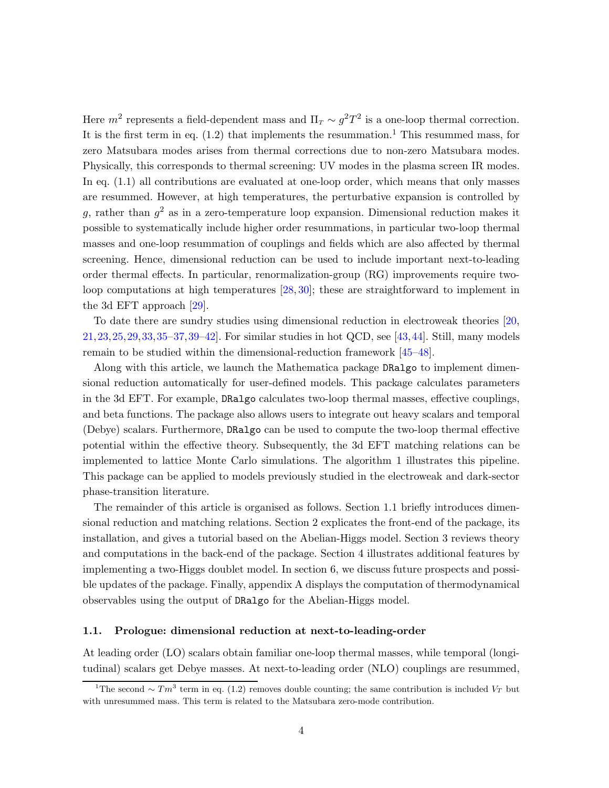Here  $m^2$  represents a field-dependent mass and  $\Pi_T \sim g^2 T^2$  is a one-loop thermal correction. It is the first term in eq.  $(1.2)$  $(1.2)$  $(1.2)$  that implements the resummation.<sup>1</sup> This resummed mass, for zero Matsubara modes arises from thermal corrections due to non-zero Matsubara modes. Physically, this corresponds to thermal screening: UV modes in the plasma screen IR modes. In eq. [\(1.1\)](#page-3-2) all contributions are evaluated at one-loop order, which means that only masses are resummed. However, at high temperatures, the perturbative expansion is controlled by g, rather than  $g^2$  as in a zero-temperature loop expansion. Dimensional reduction makes it possible to systematically include higher order resummations, in particular two-loop thermal masses and one-loop resummation of couplings and fields which are also affected by thermal screening. Hence, dimensional reduction can be used to include important next-to-leading order thermal effects. In particular, renormalization-group (RG) improvements require twoloop computations at high temperatures  $[28, 30]$  $[28, 30]$ ; these are straightforward to implement in the 3d EFT approach [\[29\]](#page-42-10).

To date there are sundry studies using dimensional reduction in electroweak theories [\[20,](#page-42-3) [21,](#page-42-11)[23,](#page-42-12)[25,](#page-42-0)[29,](#page-42-10)[33,](#page-42-8)[35–](#page-43-0)[37,](#page-43-1)[39](#page-43-3)[–42\]](#page-43-4). For similar studies in hot QCD, see [\[43,](#page-43-5)[44\]](#page-43-6). Still, many models remain to be studied within the dimensional-reduction framework [\[45](#page-43-7)[–48\]](#page-43-8).

Along with this article, we launch the Mathematica package DRalgo to implement dimensional reduction automatically for user-defined models. This package calculates parameters in the 3d EFT. For example, DRalgo calculates two-loop thermal masses, effective couplings, and beta functions. The package also allows users to integrate out heavy scalars and temporal (Debye) scalars. Furthermore, DRalgo can be used to compute the two-loop thermal effective potential within the effective theory. Subsequently, the 3d EFT matching relations can be implemented to lattice Monte Carlo simulations. The algorithm [1](#page-5-0) illustrates this pipeline. This package can be applied to models previously studied in the electroweak and dark-sector phase-transition literature.

The remainder of this article is organised as follows. Section [1.1](#page-4-0) briefly introduces dimensional reduction and matching relations. Section [2](#page-8-0) explicates the front-end of the package, its installation, and gives a tutorial based on the Abelian-Higgs model. Section [3](#page-15-0) reviews theory and computations in the back-end of the package. Section [4](#page-23-0) illustrates additional features by implementing a two-Higgs doublet model. In section [6,](#page-37-0) we discuss future prospects and possible updates of the package. Finally, appendix [A](#page-39-0) displays the computation of thermodynamical observables using the output of DRalgo for the Abelian-Higgs model.

#### <span id="page-4-0"></span>1.1. Prologue: dimensional reduction at next-to-leading-order

At leading order (LO) scalars obtain familiar one-loop thermal masses, while temporal (longitudinal) scalars get Debye masses. At next-to-leading order (NLO) couplings are resummed,

<span id="page-4-1"></span><sup>&</sup>lt;sup>1</sup>The second ∼  $Tm^3$  term in eq. [\(1.2\)](#page-3-1) removes double counting; the same contribution is included  $V_T$  but with unresummed mass. This term is related to the Matsubara zero-mode contribution.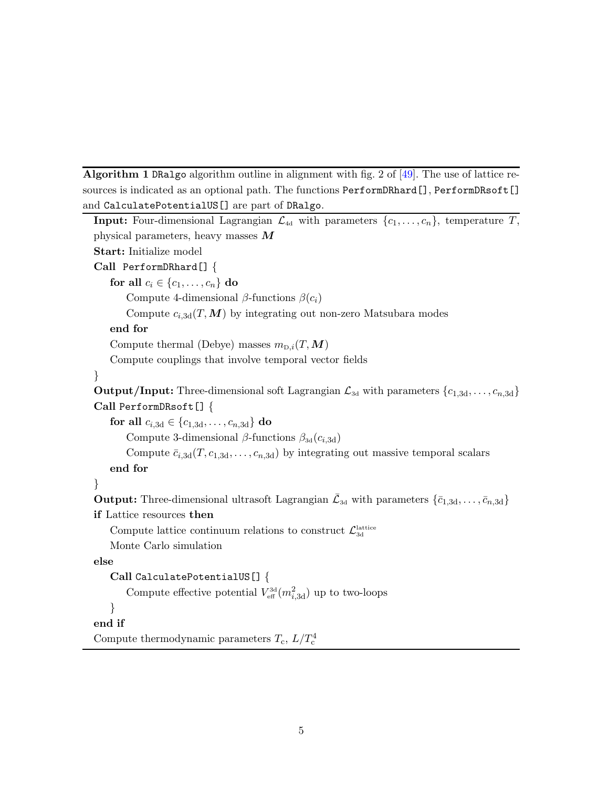<span id="page-5-0"></span>Algorithm 1 DRalgo algorithm outline in alignment with fig. 2 of [\[49\]](#page-43-9). The use of lattice resources is indicated as an optional path. The functions PerformDRhard[], PerformDRsoft[] and CalculatePotentialUS[] are part of DRalgo.

```
Input: Four-dimensional Lagrangian \mathcal{L}_{4d} with parameters \{c_1, \ldots, c_n\}, temperature T,
physical parameters, heavy masses MStart: Initialize model
Call PerformDRhard[] {
    for all c_i \in \{c_1, \ldots, c_n\} do
        Compute 4-dimensional \beta-functions \beta(c_i)Compute c_{i,3d}(T,M) by integrating out non-zero Matsubara modes
    end for
    Compute thermal (Debye) masses m_{\text{D},i}(T,\boldsymbol{M})Compute couplings that involve temporal vector fields
}
Output/Input: Three-dimensional soft Lagrangian \mathcal{L}_{3d} with parameters \{c_{1,3d}, \ldots, c_{n,3d}\}Call PerformDRsoft[] {
    for all c_{i,3d} \in \{c_{1,3d}, \ldots, c_{n,3d}\}\ do
        Compute 3-dimensional \beta-functions \beta_{3d}(c_{i,3d})Compute \bar{c}_{i,3d}(T, c_{1,3d}, \ldots, c_{n,3d}) by integrating out massive temporal scalars
    end for
}
Output: Three-dimensional ultrasoft Lagrangian \bar{\mathcal{L}}_{3d} with parameters \{\bar{c}_{1,3d}, \ldots, \bar{c}_{n,3d}\}if Lattice resources then
    Compute lattice continuum relations to construct \mathcal{L}_{3d}^{\text{lattice}}Monte Carlo simulation
else
    Call CalculatePotentialUS[] {
        Compute effective potential V_{\text{eff}}^{3d}(m_{i,3d}^2) up to two-loops
    }
end if
```

```
Compute thermodynamic parameters T_c, L/T_c^4
```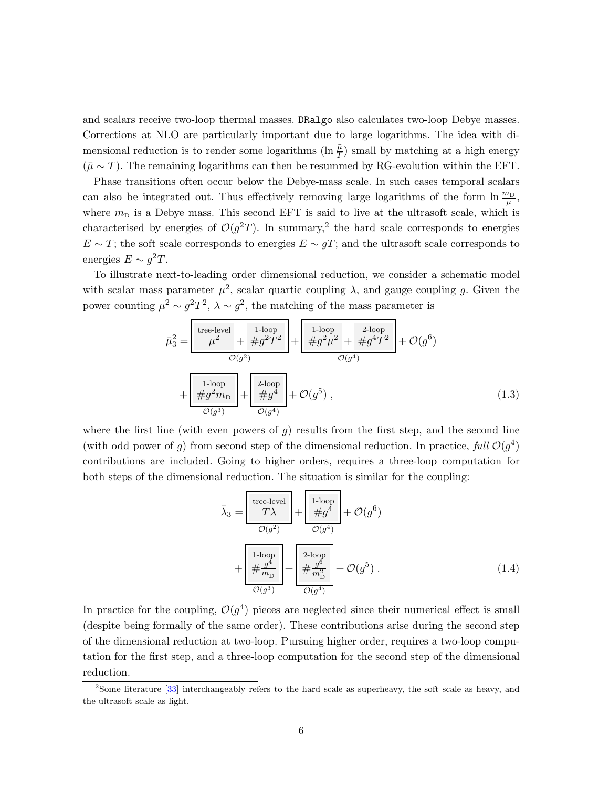and scalars receive two-loop thermal masses. DRalgo also calculates two-loop Debye masses. Corrections at NLO are particularly important due to large logarithms. The idea with dimensional reduction is to render some logarithms  $(\ln \frac{\bar{\mu}}{T})$  small by matching at a high energy  $(\bar{\mu} \sim T)$ . The remaining logarithms can then be resummed by RG-evolution within the EFT.

Phase transitions often occur below the Debye-mass scale. In such cases temporal scalars can also be integrated out. Thus effectively removing large logarithms of the form  $\ln \frac{m_D}{\bar{\mu}}$ , where  $m<sub>D</sub>$  is a Debye mass. This second EFT is said to live at the ultrasoft scale, which is characterised by energies of  $\mathcal{O}(g^2T)$  $\mathcal{O}(g^2T)$  $\mathcal{O}(g^2T)$ . In summary,<sup>2</sup> the hard scale corresponds to energies  $E \sim T$ ; the soft scale corresponds to energies  $E \sim gT$ ; and the ultrasoft scale corresponds to energies  $E \sim g^2 T$ .

To illustrate next-to-leading order dimensional reduction, we consider a schematic model with scalar mass parameter  $\mu^2$ , scalar quartic coupling  $\lambda$ , and gauge coupling g. Given the power counting  $\mu^2 \sim g^2 T^2$ ,  $\lambda \sim g^2$ , the matching of the mass parameter is

$$
\bar{\mu}_{3}^{2} = \frac{\begin{bmatrix} \text{tree-level} \\ \mu^{2} + \#g^{2}T^{2} \end{bmatrix} + \begin{bmatrix} 1\text{-loop} & 2\text{-loop} \\ \#g^{2}\mu^{2} + \#g^{4}T^{2} \end{bmatrix} + \mathcal{O}(g^{6})}{\mathcal{O}(g^{4})} + \frac{\begin{bmatrix} 1\text{-loop} \\ \#g^{2}m_{\text{D}} \end{bmatrix} + \begin{bmatrix} 2\text{-loop} \\ \#g^{4} \end{bmatrix} + \mathcal{O}(g^{5}),
$$
\n(1.3)

where the first line (with even powers of  $q$ ) results from the first step, and the second line (with odd power of g) from second step of the dimensional reduction. In practice, full  $\mathcal{O}(g^4)$ contributions are included. Going to higher orders, requires a three-loop computation for both steps of the dimensional reduction. The situation is similar for the coupling:

$$
\bar{\lambda}_3 = \frac{\text{tree-level}}{T\lambda} + \frac{\frac{1\text{-loop}}{\#g^4}}{\mathcal{O}(g^2)} + \mathcal{O}(g^6)
$$
\n
$$
+ \frac{\frac{1\text{-loop}}{4\#g^4}}{\mathcal{O}(g^3)} + \frac{\frac{2\text{-loop}}{\mathcal{O}(g^4)}}{\mathcal{O}(g^3)} + \mathcal{O}(g^5) .
$$
\n(1.4)

In practice for the coupling,  $\mathcal{O}(g^4)$  pieces are neglected since their numerical effect is small (despite being formally of the same order). These contributions arise during the second step of the dimensional reduction at two-loop. Pursuing higher order, requires a two-loop computation for the first step, and a three-loop computation for the second step of the dimensional reduction.

<span id="page-6-0"></span><sup>&</sup>lt;sup>2</sup>Some literature [\[33\]](#page-42-8) interchangeably refers to the hard scale as superheavy, the soft scale as heavy, and the ultrasoft scale as light.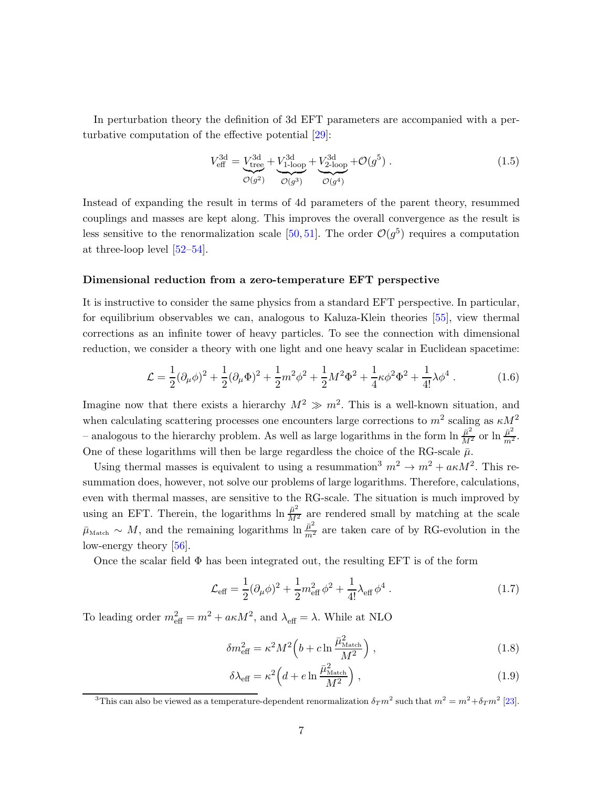In perturbation theory the definition of 3d EFT parameters are accompanied with a perturbative computation of the effective potential [\[29\]](#page-42-10):

$$
V_{\text{eff}}^{3d} = \underbrace{V_{\text{tree}}^{3d}}_{\mathcal{O}(g^2)} + \underbrace{V_{1-\text{loop}}^{3d}}_{\mathcal{O}(g^3)} + \underbrace{V_{2-\text{loop}}^{3d}}_{\mathcal{O}(g^4)} + \mathcal{O}(g^5) \,. \tag{1.5}
$$

Instead of expanding the result in terms of 4d parameters of the parent theory, resummed couplings and masses are kept along. This improves the overall convergence as the result is less sensitive to the renormalization scale [\[50,](#page-43-10) [51\]](#page-44-3). The order  $\mathcal{O}(g^5)$  requires a computation at three-loop level [\[52–](#page-44-4)[54\]](#page-44-5).

#### Dimensional reduction from a zero-temperature EFT perspective

It is instructive to consider the same physics from a standard EFT perspective. In particular, for equilibrium observables we can, analogous to Kaluza-Klein theories [\[55\]](#page-44-6), view thermal corrections as an infinite tower of heavy particles. To see the connection with dimensional reduction, we consider a theory with one light and one heavy scalar in Euclidean spacetime:

$$
\mathcal{L} = \frac{1}{2} (\partial_{\mu} \phi)^2 + \frac{1}{2} (\partial_{\mu} \Phi)^2 + \frac{1}{2} m^2 \phi^2 + \frac{1}{2} M^2 \Phi^2 + \frac{1}{4} \kappa \phi^2 \Phi^2 + \frac{1}{4!} \lambda \phi^4 \,. \tag{1.6}
$$

Imagine now that there exists a hierarchy  $M^2 \gg m^2$ . This is a well-known situation, and when calculating scattering processes one encounters large corrections to  $m^2$  scaling as  $\kappa M^2$ - analogous to the hierarchy problem. As well as large logarithms in the form  $\ln \frac{\bar{\mu}^2}{M^2}$  or  $\ln \frac{\bar{\mu}^2}{m^2}$ . One of these logarithms will then be large regardless the choice of the RG-scale  $\bar{\mu}$ .

Using thermal masses is equivalent to using a resummation<sup>[3](#page-7-0)</sup>  $m^2 \to m^2 + a\kappa M^2$ . This resummation does, however, not solve our problems of large logarithms. Therefore, calculations, even with thermal masses, are sensitive to the RG-scale. The situation is much improved by using an EFT. Therein, the logarithms  $\ln \frac{\bar{\mu}^2}{M^2}$  are rendered small by matching at the scale  $\bar{\mu}_{\text{Match}} \sim M$ , and the remaining logarithms  $\ln \frac{\bar{\mu}^2}{m^2}$  are taken care of by RG-evolution in the low-energy theory [\[56\]](#page-44-7).

Once the scalar field  $\Phi$  has been integrated out, the resulting EFT is of the form

$$
\mathcal{L}_{\text{eff}} = \frac{1}{2} (\partial_{\mu} \phi)^2 + \frac{1}{2} m_{\text{eff}}^2 \phi^2 + \frac{1}{4!} \lambda_{\text{eff}} \phi^4 \,. \tag{1.7}
$$

To leading order  $m_{\text{eff}}^2 = m^2 + a\kappa M^2$ , and  $\lambda_{\text{eff}} = \lambda$ . While at NLO

$$
\delta m_{\text{eff}}^2 = \kappa^2 M^2 \left( b + c \ln \frac{\bar{\mu}_{\text{Match}}^2}{M^2} \right), \qquad (1.8)
$$

$$
\delta \lambda_{\text{eff}} = \kappa^2 \left( d + e \ln \frac{\bar{\mu}_{\text{Match}}^2}{M^2} \right), \qquad (1.9)
$$

<span id="page-7-0"></span><sup>3</sup>This can also be viewed as a temperature-dependent renormalization  $\delta_T m^2$  such that  $m^2 = m^2 + \delta_T m^2$  [\[23\]](#page-42-12).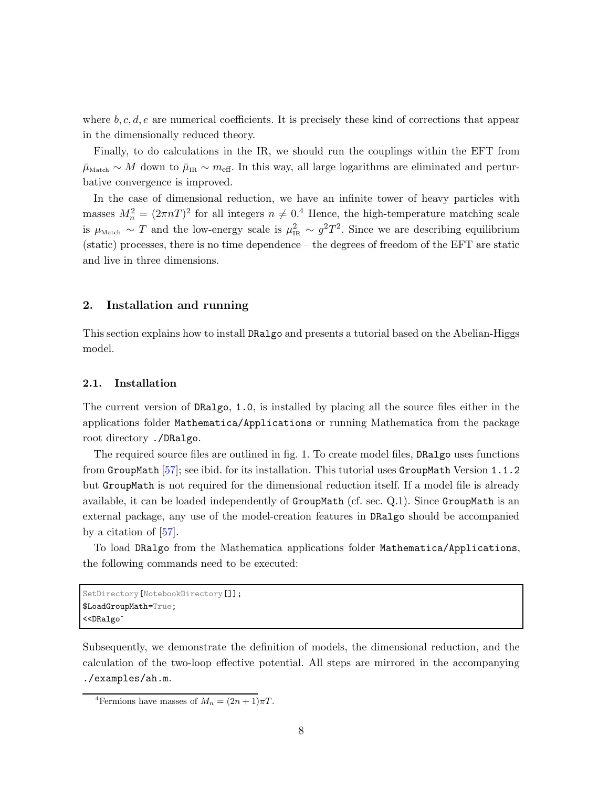where  $b, c, d, e$  are numerical coefficients. It is precisely these kind of corrections that appear in the dimensionally reduced theory.

Finally, to do calculations in the IR, we should run the couplings within the EFT from  $\bar{\mu}_{\text{Match}} \sim M$  down to  $\bar{\mu}_{IR} \sim m_{\text{eff}}$ . In this way, all large logarithms are eliminated and perturbative convergence is improved.

In the case of dimensional reduction, we have an infinite tower of heavy particles with masses  $M_n^2 = (2\pi nT)^2$  for all integers  $n \neq 0.4$  $n \neq 0.4$  Hence, the high-temperature matching scale is  $\mu_{\text{Match}} \sim T$  and the low-energy scale is  $\mu_{\text{IR}}^2 \sim g^2 T^2$ . Since we are describing equilibrium (static) processes, there is no time dependence – the degrees of freedom of the EFT are static and live in three dimensions.

# <span id="page-8-0"></span>2. Installation and running

This section explains how to install DRalgo and presents a tutorial based on the Abelian-Higgs model.

## <span id="page-8-1"></span>2.1. Installation

The current version of DRalgo, 1.0, is installed by placing all the source files either in the applications folder Mathematica/Applications or running Mathematica from the package root directory ./DRalgo.

The required source files are outlined in fig. [1.](#page-9-1) To create model files, DRalgo uses functions from GroupMath [\[57\]](#page-44-0); see ibid. for its installation. This tutorial uses GroupMath Version 1.1.2 but GroupMath is not required for the dimensional reduction itself. If a model file is already available, it can be loaded independently of GroupMath (cf. sec. [Q.1\)](#page-29-1). Since GroupMath is an external package, any use of the model-creation features in DRalgo should be accompanied by a citation of [\[57\]](#page-44-0).

To load DRalgo from the Mathematica applications folder Mathematica/Applications, the following commands need to be executed:

```
SetDirectory[NotebookDirectory[]];
$LoadGroupMath=True;
<<DRalgo`
```
Subsequently, we demonstrate the definition of models, the dimensional reduction, and the calculation of the two-loop effective potential. All steps are mirrored in the accompanying ./examples/ah.m.

<span id="page-8-2"></span><sup>&</sup>lt;sup>4</sup>Fermions have masses of  $M_n = (2n + 1)\pi T$ .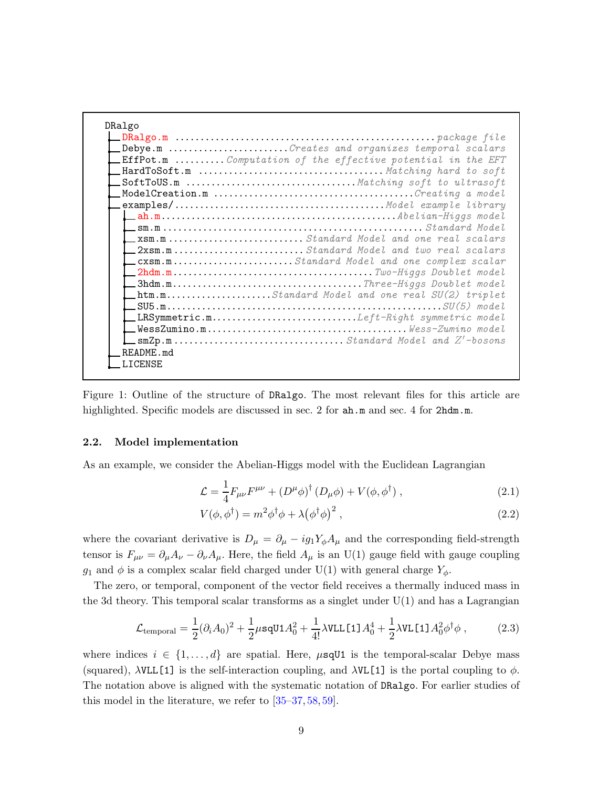| DRalgo    |                                                                     |
|-----------|---------------------------------------------------------------------|
|           |                                                                     |
|           | Debye.m Creates and organizes temporal scalars                      |
|           | <b>LEffPot.m </b> Computation of the effective potential in the EFT |
|           |                                                                     |
|           |                                                                     |
|           | $\_\texttt{ModelCreating a model}$                                  |
|           |                                                                     |
|           |                                                                     |
|           |                                                                     |
|           |                                                                     |
|           | <b>12xsm.m</b> Standard Model and two real scalars                  |
|           | cxsm.mStandard Model and one complex scalar                         |
|           |                                                                     |
|           |                                                                     |
|           | $\Box$ htm.mStandard Model and one real SU(2) triplet               |
|           |                                                                     |
|           | $\text{\_}$ LRSymmetric.mLeft-Right symmetric model                 |
|           |                                                                     |
|           |                                                                     |
| README.md |                                                                     |
| LICENSE   |                                                                     |

<span id="page-9-1"></span>Figure 1: Outline of the structure of DRalgo. The most relevant files for this article are highlighted. Specific models are discussed in sec. [2](#page-8-0) for  $ah.m$  and sec. [4](#page-23-0) for  $2hdm.m$ .

## <span id="page-9-0"></span>2.2. Model implementation

As an example, we consider the Abelian-Higgs model with the Euclidean Lagrangian

<span id="page-9-2"></span>
$$
\mathcal{L} = \frac{1}{4} F_{\mu\nu} F^{\mu\nu} + \left( D^{\mu} \phi \right)^{\dagger} \left( D_{\mu} \phi \right) + V(\phi, \phi^{\dagger}) \,, \tag{2.1}
$$

$$
V(\phi, \phi^{\dagger}) = m^2 \phi^{\dagger} \phi + \lambda (\phi^{\dagger} \phi)^2 , \qquad (2.2)
$$

where the covariant derivative is  $D_{\mu} = \partial_{\mu} - ig_1 Y_{\phi} A_{\mu}$  and the corresponding field-strength tensor is  $F_{\mu\nu} = \partial_\mu A_\nu - \partial_\nu A_\mu$ . Here, the field  $A_\mu$  is an U(1) gauge field with gauge coupling  $g_1$  and  $\phi$  is a complex scalar field charged under U(1) with general charge  $Y_{\phi}$ .

The zero, or temporal, component of the vector field receives a thermally induced mass in the 3d theory. This temporal scalar transforms as a singlet under  $U(1)$  and has a Lagrangian

$$
\mathcal{L}_{\text{temporal}} = \frac{1}{2} (\partial_i A_0)^2 + \frac{1}{2} \mu \text{sqU1} A_0^2 + \frac{1}{4!} \lambda \text{VLL} \text{[1]} A_0^4 + \frac{1}{2} \lambda \text{VL} \text{[1]} A_0^2 \phi^\dagger \phi , \qquad (2.3)
$$

where indices  $i \in \{1, ..., d\}$  are spatial. Here,  $\mu$ sqU1 is the temporal-scalar Debye mass (squared),  $\lambda$ VLL[1] is the self-interaction coupling, and  $\lambda$ VL[1] is the portal coupling to  $\phi$ . The notation above is aligned with the systematic notation of DRalgo. For earlier studies of this model in the literature, we refer to [\[35–](#page-43-0)[37,](#page-43-1) [58,](#page-44-8) [59\]](#page-44-9).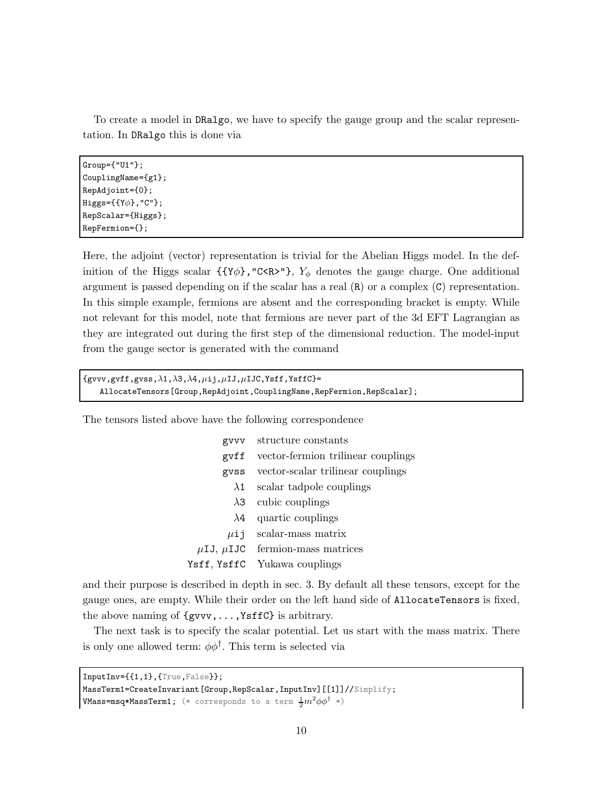To create a model in DRalgo, we have to specify the gauge group and the scalar representation. In DRalgo this is done via

Group={"U1"}; CouplingName={g1}; RepAdjoint={0};  $Higgs=\{Y\phi\}$ , "C"}; RepScalar={Higgs}; RepFermion={};

Here, the adjoint (vector) representation is trivial for the Abelian Higgs model. In the definition of the Higgs scalar  $\{ \{ \gamma \phi \}, \Gamma \subset \mathbb{R}^N \}$ ,  $Y_{\phi}$  denotes the gauge charge. One additional argument is passed depending on if the scalar has a real (R) or a complex (C) representation. In this simple example, fermions are absent and the corresponding bracket is empty. While not relevant for this model, note that fermions are never part of the 3d EFT Lagrangian as they are integrated out during the first step of the dimensional reduction. The model-input from the gauge sector is generated with the command

```
{g}vvv, gvff, gvss, \lambda1, \lambda3, \lambda4, \mu ij, \mu IJ, \mu IJC, Ysff, YsffC=
    AllocateTensors[Group,RepAdjoint,CouplingName,RepFermion,RepScalar];
```
The tensors listed above have the following correspondence

| gvvv        | structure constants                       |
|-------------|-------------------------------------------|
| gvff        | vector-fermion trilinear couplings        |
|             | gyss vector-scalar trilinear couplings    |
| $\lambda1$  | scalar tadpole couplings                  |
| $\lambda$ 3 | cubic couplings                           |
| $\lambda$ 4 | quartic couplings                         |
|             | $\mu$ ij scalar-mass matrix               |
|             | $\mu$ IJ, $\mu$ IJC fermion-mass matrices |
|             | Ysff, YsffC Yukawa couplings              |

and their purpose is described in depth in sec. [3.](#page-15-0) By default all these tensors, except for the gauge ones, are empty. While their order on the left hand side of AllocateTensors is fixed, the above naming of {gvvv,...,YsffC} is arbitrary.

The next task is to specify the scalar potential. Let us start with the mass matrix. There is only one allowed term:  $\phi \phi^{\dagger}$ . This term is selected via

 $InputInv = \{1,1\}, \{True, False\}\};$ 

```
MassTerm1=CreateInvariant[Group,RepScalar,InputInv][[1]]//Simplify;
```
<code>VMass=msq\*MassTerm1;</code> (\* corresponds to a term  $\frac{1}{2}m^2\phi\phi^\dagger$  \*)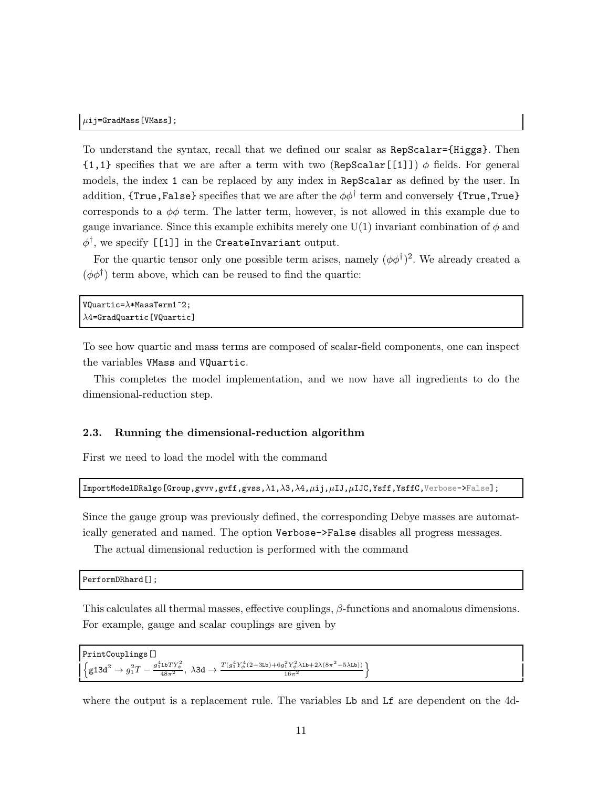To understand the syntax, recall that we defined our scalar as RepScalar={Higgs}. Then  $\{1,1\}$  specifies that we are after a term with two (RepScalar[[1]])  $\phi$  fields. For general models, the index 1 can be replaced by any index in RepScalar as defined by the user. In addition, {True,False} specifies that we are after the  $\phi\phi^\dagger$  term and conversely {True,True} corresponds to a  $\phi\phi$  term. The latter term, however, is not allowed in this example due to gauge invariance. Since this example exhibits merely one  $U(1)$  invariant combination of  $\phi$  and  $\phi^\dagger,$  we specify [[1]] in the CreateInvariant output.

For the quartic tensor only one possible term arises, namely  $(\phi \phi^{\dagger})^2$ . We already created a  $(\phi \phi^{\dagger})$  term above, which can be reused to find the quartic:

```
VQuartic=\lambda * MassTerm1^2;\lambda4=GradQuartic[VQuartic]
```
To see how quartic and mass terms are composed of scalar-field components, one can inspect the variables VMass and VQuartic.

This completes the model implementation, and we now have all ingredients to do the dimensional-reduction step.

## <span id="page-11-0"></span>2.3. Running the dimensional-reduction algorithm

First we need to load the model with the command

```
\texttt{ImportModelDRalgo} [Group,gvvv,gvff,gvss,\lambda1,\lambda3,\lambda4,\muij,\muIJ,\muIJC,Ysff,YsffC,Verbose->False];
```
Since the gauge group was previously defined, the corresponding Debye masses are automatically generated and named. The option Verbose->False disables all progress messages.

The actual dimensional reduction is performed with the command

```
PerformDRhard[];
```
This calculates all thermal masses, effective couplings,  $\beta$ -functions and anomalous dimensions. For example, gauge and scalar couplings are given by

```
PrintCouplings[]
 \Big\{ \text{g13d}^2 \to g_1^2 T - \frac{g_1^4 \text{Lb} T Y_\phi^2}{48 \pi^2} , \; \lambda \text{3d} \to \frac{T (g_1^4 Y_\phi^4 (2 - 3 \text{Lb}) + 6 g_1^2 Y_\phi^2 \lambda \text{Lb} + 2 \lambda (8 \pi^2 - 5 \lambda \text{Lb}) )}{16 \pi^2}\frac{\frac{2}{1}Y^2_{\phi}\lambda\text{Lb}+2\lambda(8\pi^2-5\lambda\text{Lb}))}{16\pi^2}
```
where the output is a replacement rule. The variables Lb and Lf are dependent on the 4d-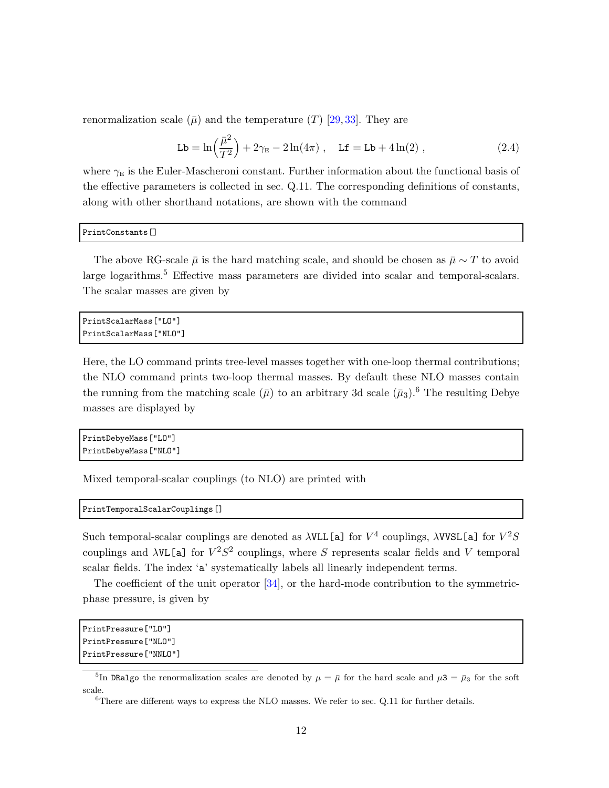renormalization scale  $(\bar{\mu})$  and the temperature  $(T)$  [\[29,](#page-42-10) [33\]](#page-42-8). They are

<span id="page-12-2"></span>
$$
Lb = \ln\left(\frac{\bar{\mu}^2}{T^2}\right) + 2\gamma_E - 2\ln(4\pi) , \quad Lf = Lb + 4\ln(2) , \qquad (2.4)
$$

where  $\gamma_E$  is the Euler-Mascheroni constant. Further information about the functional basis of the effective parameters is collected in sec. [Q.11.](#page-33-0) The corresponding definitions of constants, along with other shorthand notations, are shown with the command

## PrintConstants[]

The above RG-scale  $\bar{\mu}$  is the hard matching scale, and should be chosen as  $\bar{\mu} \sim T$  to avoid large logarithms.<sup>[5](#page-12-0)</sup> Effective mass parameters are divided into scalar and temporal-scalars. The scalar masses are given by

```
PrintScalarMass["LO"]
PrintScalarMass["NLO"]
```
Here, the LO command prints tree-level masses together with one-loop thermal contributions; the NLO command prints two-loop thermal masses. By default these NLO masses contain the running from the matching scale  $(\bar{\mu})$  to an arbitrary 3d scale  $(\bar{\mu}_3)$ .<sup>[6](#page-12-1)</sup> The resulting Debye masses are displayed by

```
PrintDebyeMass["LO"]
PrintDebyeMass["NLO"]
```
Mixed temporal-scalar couplings (to NLO) are printed with

```
PrintTemporalScalarCouplings[]
```
Such temporal-scalar couplings are denoted as  $\lambda$ VLL[a] for  $V^4$  couplings,  $\lambda$ VVSL[a] for  $V^2S$ couplings and  $\lambda$ VL[a] for  $V^2S^2$  couplings, where S represents scalar fields and V temporal scalar fields. The index 'a' systematically labels all linearly independent terms.

The coefficient of the unit operator [\[34\]](#page-42-9), or the hard-mode contribution to the symmetricphase pressure, is given by

```
PrintPressure["LO"]
PrintPressure["NLO"]
PrintPressure["NNLO"]
```
<sup>&</sup>lt;sup>5</sup>In DRalgo the renormalization scales are denoted by  $\mu = \bar{\mu}$  for the hard scale and  $\mu$ 3 =  $\bar{\mu}_3$  for the soft scale.

<span id="page-12-1"></span><span id="page-12-0"></span> ${}^{6}$ There are different ways to express the NLO masses. We refer to sec. [Q.11](#page-33-0) for further details.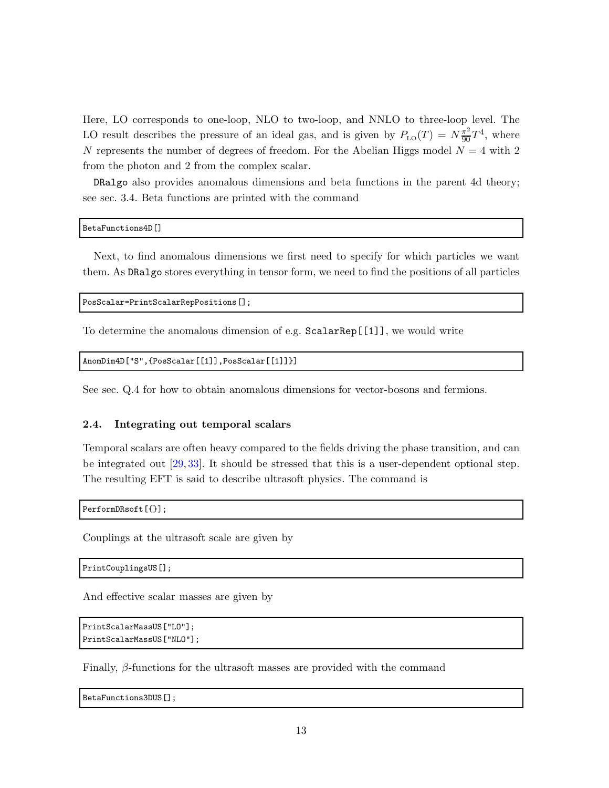Here, LO corresponds to one-loop, NLO to two-loop, and NNLO to three-loop level. The LO result describes the pressure of an ideal gas, and is given by  $P_{\text{LO}}(T) = N \frac{\pi^2}{90} T^4$ , where N represents the number of degrees of freedom. For the Abelian Higgs model  $N = 4$  with 2 from the photon and 2 from the complex scalar.

DRalgo also provides anomalous dimensions and beta functions in the parent 4d theory; see sec. [3.4.](#page-22-0) Beta functions are printed with the command

BetaFunctions4D[]

Next, to find anomalous dimensions we first need to specify for which particles we want them. As DRalgo stores everything in tensor form, we need to find the positions of all particles

PosScalar=PrintScalarRepPositions[];

To determine the anomalous dimension of e.g. ScalarRep[[1]], we would write

```
AnomDim4D["S",{PosScalar[[1]],PosScalar[[1]]}]
```
<span id="page-13-0"></span>See sec. [Q.4](#page-30-0) for how to obtain anomalous dimensions for vector-bosons and fermions.

#### 2.4. Integrating out temporal scalars

Temporal scalars are often heavy compared to the fields driving the phase transition, and can be integrated out [\[29,](#page-42-10) [33\]](#page-42-8). It should be stressed that this is a user-dependent optional step. The resulting EFT is said to describe ultrasoft physics. The command is

PerformDRsoft[{}];

Couplings at the ultrasoft scale are given by

PrintCouplingsUS[];

And effective scalar masses are given by

```
PrintScalarMassUS["LO"];
PrintScalarMassUS["NLO"];
```
Finally,  $\beta$ -functions for the ultrasoft masses are provided with the command

BetaFunctions3DUS[];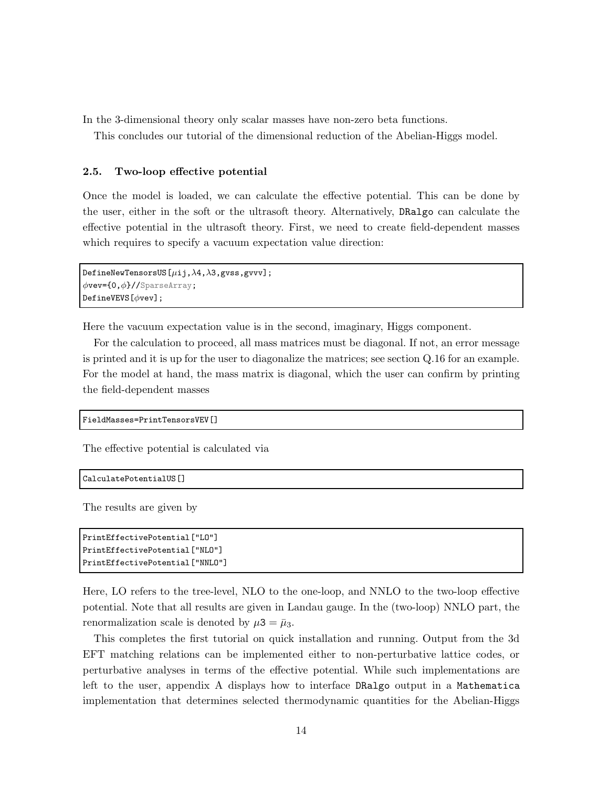In the 3-dimensional theory only scalar masses have non-zero beta functions.

This concludes our tutorial of the dimensional reduction of the Abelian-Higgs model.

## <span id="page-14-0"></span>2.5. Two-loop effective potential

Once the model is loaded, we can calculate the effective potential. This can be done by the user, either in the soft or the ultrasoft theory. Alternatively, DRalgo can calculate the effective potential in the ultrasoft theory. First, we need to create field-dependent masses which requires to specify a vacuum expectation value direction:

```
DefineNewTensorsUS[\mu i; \lambda 4, \lambda 3, gvss, gvvv];
\phivev={0,\phi}//SparseArray;
DefineVEVS[φvev];
```
Here the vacuum expectation value is in the second, imaginary, Higgs component.

For the calculation to proceed, all mass matrices must be diagonal. If not, an error message is printed and it is up for the user to diagonalize the matrices; see section [Q.16](#page-35-0) for an example. For the model at hand, the mass matrix is diagonal, which the user can confirm by printing the field-dependent masses

```
FieldMasses=PrintTensorsVEV[]
```
The effective potential is calculated via

```
CalculatePotentialUS[]
```
The results are given by

```
PrintEffectivePotential["LO"]
PrintEffectivePotential["NLO"]
PrintEffectivePotential["NNLO"]
```
Here, LO refers to the tree-level, NLO to the one-loop, and NNLO to the two-loop effective potential. Note that all results are given in Landau gauge. In the (two-loop) NNLO part, the renormalization scale is denoted by  $\mu$ 3 =  $\bar{\mu}_3$ .

This completes the first tutorial on quick installation and running. Output from the 3d EFT matching relations can be implemented either to non-perturbative lattice codes, or perturbative analyses in terms of the effective potential. While such implementations are left to the user, appendix [A](#page-39-0) displays how to interface DRalgo output in a Mathematica implementation that determines selected thermodynamic quantities for the Abelian-Higgs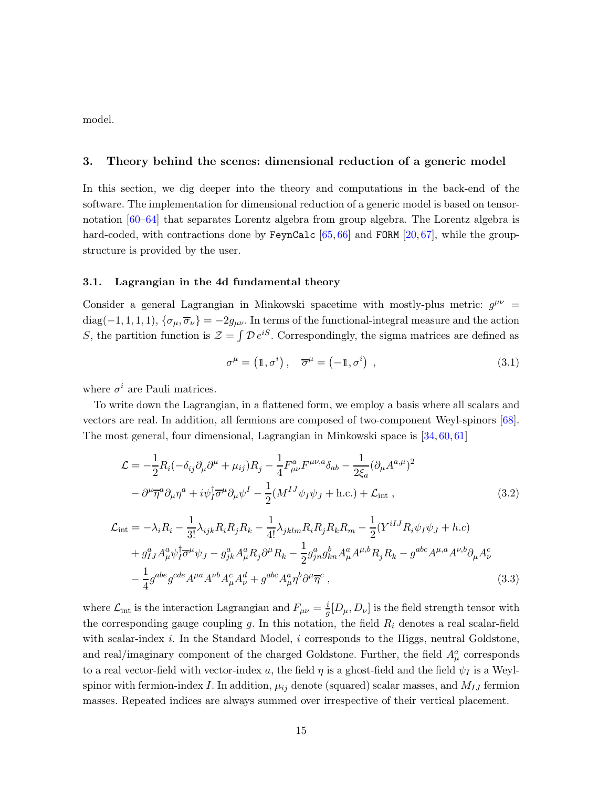<span id="page-15-0"></span>model.

# 3. Theory behind the scenes: dimensional reduction of a generic model

In this section, we dig deeper into the theory and computations in the back-end of the software. The implementation for dimensional reduction of a generic model is based on tensornotation [\[60–](#page-44-1)[64\]](#page-44-2) that separates Lorentz algebra from group algebra. The Lorentz algebra is hard-coded, with contractions done by FeynCalc  $[65, 66]$  $[65, 66]$  $[65, 66]$  and FORM  $[20, 67]$  $[20, 67]$  $[20, 67]$ , while the groupstructure is provided by the user.

## <span id="page-15-1"></span>3.1. Lagrangian in the 4d fundamental theory

Consider a general Lagrangian in Minkowski spacetime with mostly-plus metric:  $g^{\mu\nu}$  = diag(-1, 1, 1, 1),  $\{\sigma_{\mu}, \overline{\sigma}_{\nu}\} = -2g_{\mu\nu}$ . In terms of the functional-integral measure and the action S, the partition function is  $\mathcal{Z} = \int \mathcal{D} e^{iS}$ . Correspondingly, the sigma matrices are defined as

$$
\sigma^{\mu} = (1, \sigma^{i}), \quad \overline{\sigma}^{\mu} = (-1, \sigma^{i}), \qquad (3.1)
$$

where  $\sigma^i$  are Pauli matrices.

To write down the Lagrangian, in a flattened form, we employ a basis where all scalars and vectors are real. In addition, all fermions are composed of two-component Weyl-spinors [\[68\]](#page-44-13). The most general, four dimensional, Lagrangian in Minkowski space is [\[34,](#page-42-9) [60,](#page-44-1) [61\]](#page-44-14)

$$
\mathcal{L} = -\frac{1}{2}R_i(-\delta_{ij}\partial_\mu\partial^\mu + \mu_{ij})R_j - \frac{1}{4}F_{\mu\nu}^aF^{\mu\nu,a}\delta_{ab} - \frac{1}{2\xi_a}(\partial_\mu A^{a,\mu})^2
$$

$$
-\partial^\mu\overline{\eta}^a\partial_\mu\eta^a + i\psi_I^\dagger\overline{\sigma}^\mu\partial_\mu\psi^I - \frac{1}{2}(M^{IJ}\psi_I\psi_J + \text{h.c.}) + \mathcal{L}_{\text{int}}\,,\tag{3.2}
$$

$$
\mathcal{L}_{int} = -\lambda_{i} R_{i} - \frac{1}{3!} \lambda_{ijk} R_{i} R_{j} R_{k} - \frac{1}{4!} \lambda_{jklm} R_{i} R_{j} R_{k} R_{m} - \frac{1}{2} (Y^{iIJ} R_{i} \psi_{I} \psi_{J} + h.c) \n+ g_{IJ}^{a} A_{\mu}^{a} \psi_{I}^{\dagger} \overline{\sigma}^{\mu} \psi_{J} - g_{jk}^{a} A_{\mu}^{a} R_{j} \partial^{\mu} R_{k} - \frac{1}{2} g_{jn}^{a} g_{kn}^{b} A_{\mu}^{a} A^{\mu, b} R_{j} R_{k} - g^{abc} A^{\mu, a} A^{\nu, b} \partial_{\mu} A_{\nu}^{c} \n- \frac{1}{4} g^{abe} g^{cde} A^{\mu a} A^{\nu b} A_{\mu}^{c} A_{\nu}^{d} + g^{abc} A_{\mu}^{a} \eta^{b} \partial^{\mu} \overline{\eta}^{c} ,
$$
\n(3.3)

where  $\mathcal{L}_{int}$  is the interaction Lagrangian and  $F_{\mu\nu} = \frac{i}{g} [D_{\mu}, D_{\nu}]$  is the field strength tensor with the corresponding gauge coupling  $g$ . In this notation, the field  $R<sub>i</sub>$  denotes a real scalar-field with scalar-index  $i$ . In the Standard Model,  $i$  corresponds to the Higgs, neutral Goldstone, and real/imaginary component of the charged Goldstone. Further, the field  $A^a_\mu$  corresponds to a real vector-field with vector-index a, the field  $\eta$  is a ghost-field and the field  $\psi_I$  is a Weylspinor with fermion-index I. In addition,  $\mu_{ij}$  denote (squared) scalar masses, and  $M_{IJ}$  fermion masses. Repeated indices are always summed over irrespective of their vertical placement.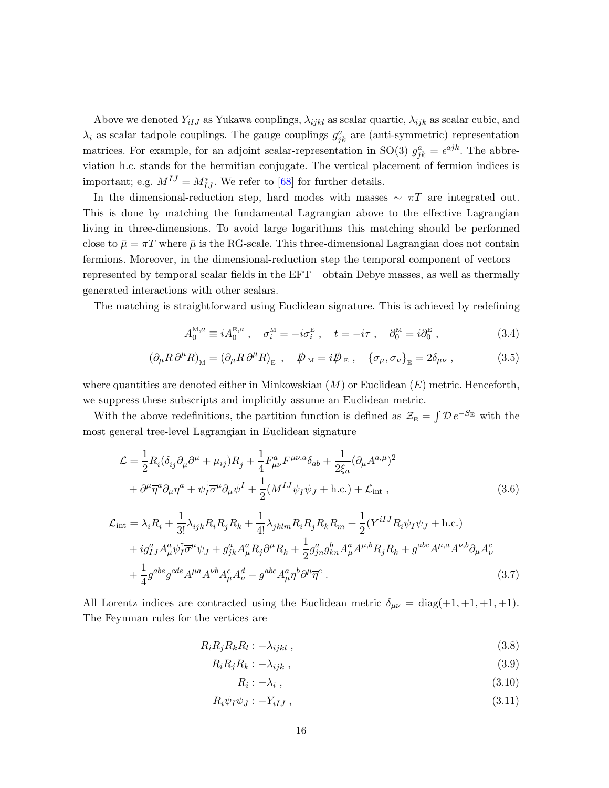Above we denoted  $Y_{iIJ}$  as Yukawa couplings,  $\lambda_{ijkl}$  as scalar quartic,  $\lambda_{ijk}$  as scalar cubic, and  $\lambda_i$  as scalar tadpole couplings. The gauge couplings  $g_{jk}^a$  are (anti-symmetric) representation matrices. For example, for an adjoint scalar-representation in SO(3)  $g_{jk}^a = \epsilon^{ajk}$ . The abbreviation h.c. stands for the hermitian conjugate. The vertical placement of fermion indices is important; e.g.  $M^{IJ} = M_{IJ}^*$ . We refer to [\[68\]](#page-44-13) for further details.

In the dimensional-reduction step, hard modes with masses  $\sim \pi T$  are integrated out. This is done by matching the fundamental Lagrangian above to the effective Lagrangian living in three-dimensions. To avoid large logarithms this matching should be performed close to  $\bar{\mu} = \pi T$  where  $\bar{\mu}$  is the RG-scale. This three-dimensional Lagrangian does not contain fermions. Moreover, in the dimensional-reduction step the temporal component of vectors – represented by temporal scalar fields in the EFT – obtain Debye masses, as well as thermally generated interactions with other scalars.

The matching is straightforward using Euclidean signature. This is achieved by redefining

$$
A_0^{\text{M},a} \equiv i A_0^{\text{E},a} , \quad \sigma_i^{\text{M}} = -i \sigma_i^{\text{E}} , \quad t = -i \tau , \quad \partial_0^{\text{M}} = i \partial_0^{\text{E}} , \tag{3.4}
$$

$$
\left(\partial_{\mu}R\,\partial^{\mu}R\right)_{\rm M} = \left(\partial_{\mu}R\,\partial^{\mu}R\right)_{\rm E} \,, \quad \not{\!{\!D}}_{\rm M} = i\not{\!{\!D}}_{\rm E} \,, \quad \left\{\sigma_{\mu},\overline{\sigma}_{\nu}\right\}_{\rm E} = 2\delta_{\mu\nu} \,, \tag{3.5}
$$

where quantities are denoted either in Minkowskian  $(M)$  or Euclidean  $(E)$  metric. Henceforth, we suppress these subscripts and implicitly assume an Euclidean metric.

With the above redefinitions, the partition function is defined as  $\mathcal{Z}_{E} = \int \mathcal{D} e^{-S_{E}}$  with the most general tree-level Lagrangian in Euclidean signature

$$
\mathcal{L} = \frac{1}{2} R_i (\delta_{ij} \partial_\mu \partial^\mu + \mu_{ij}) R_j + \frac{1}{4} F^a_{\mu\nu} F^{\mu\nu,a} \delta_{ab} + \frac{1}{2\xi_a} (\partial_\mu A^{a,\mu})^2 + \partial^\mu \overline{\eta}^a \partial_\mu \eta^a + \psi_I^{\dagger} \overline{\sigma}^\mu \partial_\mu \psi^I + \frac{1}{2} (M^{IJ} \psi_I \psi_J + \text{h.c.}) + \mathcal{L}_{\text{int}} ,
$$
\n(3.6)

$$
\mathcal{L}_{int} = \lambda_{i} R_{i} + \frac{1}{3!} \lambda_{ijk} R_{i} R_{j} R_{k} + \frac{1}{4!} \lambda_{jklm} R_{i} R_{j} R_{k} R_{m} + \frac{1}{2} (Y^{iIJ} R_{i} \psi_{I} \psi_{J} + \text{h.c.}) \n+ ig_{IJ}^{a} A_{\mu}^{a} \psi_{I}^{\dagger} \overline{\sigma}^{\mu} \psi_{J} + g_{jk}^{a} A_{\mu}^{a} R_{j} \partial^{\mu} R_{k} + \frac{1}{2} g_{jn}^{a} g_{kn}^{b} A_{\mu}^{a} A^{\mu, b} R_{j} R_{k} + g^{abc} A^{\mu, a} A^{\nu, b} \partial_{\mu} A_{\nu}^{c} \n+ \frac{1}{4} g^{abe} g^{cde} A^{\mu a} A^{\nu b} A_{\mu}^{c} A_{\nu}^{d} - g^{abc} A_{\mu}^{a} \eta^{b} \partial^{\mu} \overline{\eta}^{c} .
$$
\n(3.7)

All Lorentz indices are contracted using the Euclidean metric  $\delta_{\mu\nu} = \text{diag}(+1, +1, +1, +1)$ . The Feynman rules for the vertices are

$$
R_i R_j R_k R_l : -\lambda_{ijkl} , \qquad (3.8)
$$

$$
R_i R_j R_k : -\lambda_{ijk} \tag{3.9}
$$

$$
R_i: -\lambda_i \t{,} \t(3.10)
$$

$$
R_i \psi_I \psi_J : -Y_{iIJ} \,, \tag{3.11}
$$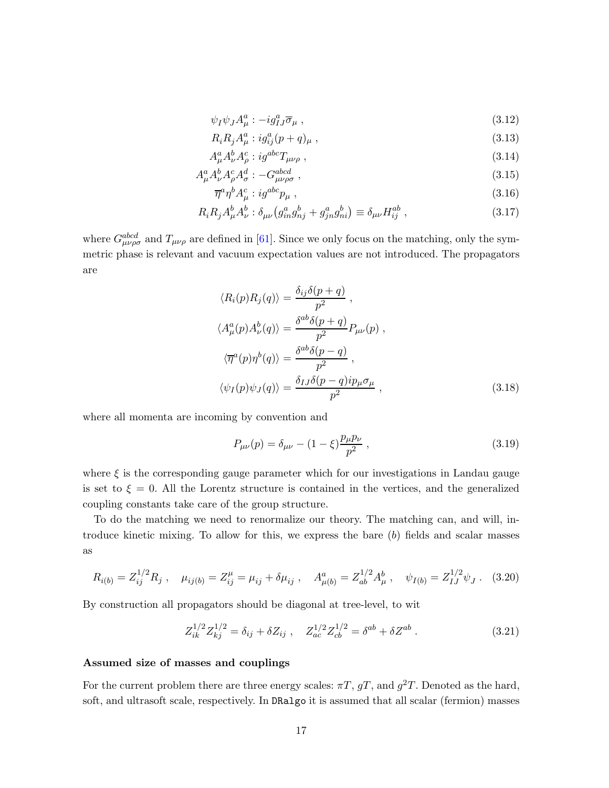$$
\psi_I \psi_J A^a_\mu : -ig^a_{IJ} \overline{\sigma}_\mu , \qquad (3.12)
$$

$$
R_i R_j A_\mu^a : i g_{ij}^a (p+q)_\mu , \qquad (3.13)
$$

$$
A^a_\mu A^b_\nu A^c_\rho : ig^{abc} T_{\mu\nu\rho} \;, \tag{3.14}
$$

$$
A^a_\mu A^b_\nu A^c_\rho A^d_\sigma : -G^{abcd}_{\mu\nu\rho\sigma} \,, \tag{3.15}
$$

<span id="page-17-1"></span>
$$
\overline{\eta}^a \eta^b A^c_\mu : ig^{abc} p_\mu , \qquad (3.16)
$$

$$
R_i R_j A^b_\mu A^b_\nu : \delta_{\mu\nu} \left( g^a_{in} g^b_{nj} + g^a_{jn} g^b_{ni} \right) \equiv \delta_{\mu\nu} H^{ab}_{ij} \,, \tag{3.17}
$$

where  $G_{\mu\nu\rho\sigma}^{abcd}$  and  $T_{\mu\nu\rho}$  are defined in [\[61\]](#page-44-14). Since we only focus on the matching, only the symmetric phase is relevant and vacuum expectation values are not introduced. The propagators are

$$
\langle R_i(p)R_j(q)\rangle = \frac{\delta_{ij}\delta(p+q)}{p^2} ,
$$
  

$$
\langle A^a_\mu(p)A^b_\nu(q)\rangle = \frac{\delta^{ab}\delta(p+q)}{p^2}P_{\mu\nu}(p) ,
$$
  

$$
\langle \overline{\eta}^a(p)\eta^b(q)\rangle = \frac{\delta^{ab}\delta(p-q)}{p^2} ,
$$
  

$$
\langle \psi_I(p)\psi_J(q)\rangle = \frac{\delta_{IJ}\delta(p-q)i p_\mu \sigma_\mu}{p^2} ,
$$
 (3.18)

where all momenta are incoming by convention and

<span id="page-17-2"></span><span id="page-17-0"></span>
$$
P_{\mu\nu}(p) = \delta_{\mu\nu} - (1 - \xi) \frac{p_{\mu}p_{\nu}}{p^2} , \qquad (3.19)
$$

where  $\xi$  is the corresponding gauge parameter which for our investigations in Landau gauge is set to  $\xi = 0$ . All the Lorentz structure is contained in the vertices, and the generalized coupling constants take care of the group structure.

To do the matching we need to renormalize our theory. The matching can, and will, introduce kinetic mixing. To allow for this, we express the bare (b) fields and scalar masses as

$$
R_{i(b)} = Z_{ij}^{1/2} R_j \ , \quad \mu_{ij(b)} = Z_{ij}^{\mu} = \mu_{ij} + \delta \mu_{ij} \ , \quad A_{\mu(b)}^{a} = Z_{ab}^{1/2} A_{\mu}^{b} \ , \quad \psi_{I(b)} = Z_{IJ}^{1/2} \psi_J \ . \tag{3.20}
$$

By construction all propagators should be diagonal at tree-level, to wit

$$
Z_{ik}^{1/2} Z_{kj}^{1/2} = \delta_{ij} + \delta Z_{ij} , \quad Z_{ac}^{1/2} Z_{cb}^{1/2} = \delta^{ab} + \delta Z^{ab} . \tag{3.21}
$$

## Assumed size of masses and couplings

For the current problem there are three energy scales:  $\pi T$ ,  $gT$ , and  $g^2T$ . Denoted as the hard, soft, and ultrasoft scale, respectively. In DRalgo it is assumed that all scalar (fermion) masses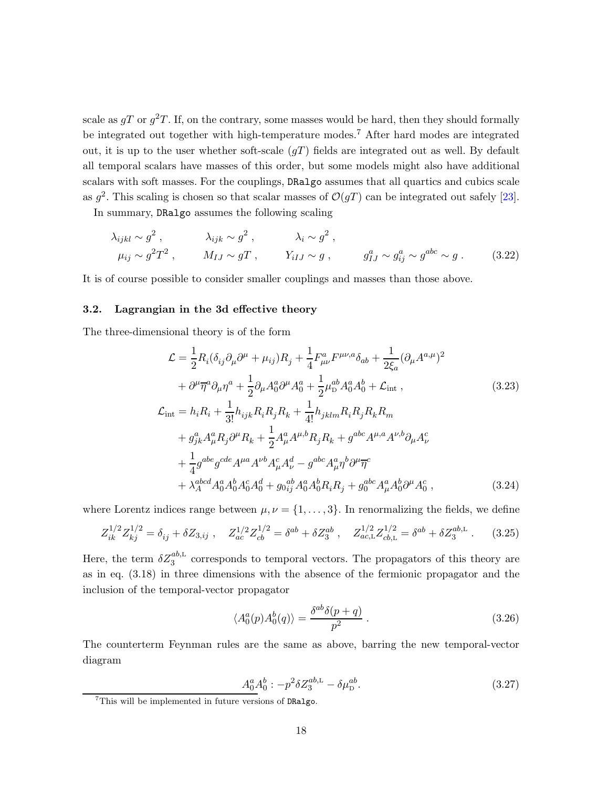scale as  $gT$  or  $g^2T$ . If, on the contrary, some masses would be hard, then they should formally be integrated out together with high-temperature modes.[7](#page-18-1) After hard modes are integrated out, it is up to the user whether soft-scale  $(gT)$  fields are integrated out as well. By default all temporal scalars have masses of this order, but some models might also have additional scalars with soft masses. For the couplings, DRalgo assumes that all quartics and cubics scale as  $g^2$ . This scaling is chosen so that scalar masses of  $\mathcal{O}(gT)$  can be integrated out safely [\[23\]](#page-42-12).

In summary, DRalgo assumes the following scaling

$$
\lambda_{ijkl} \sim g^2 , \qquad \lambda_{ijk} \sim g^2 , \qquad \lambda_i \sim g^2 ,
$$
  
\n
$$
\mu_{ij} \sim g^2 T^2 , \qquad M_{IJ} \sim gT , \qquad Y_{iIJ} \sim g , \qquad g_{IJ}^a \sim g_{ij}^a \sim g^{abc} \sim g . \qquad (3.22)
$$

<span id="page-18-0"></span>It is of course possible to consider smaller couplings and masses than those above.

#### 3.2. Lagrangian in the 3d effective theory

The three-dimensional theory is of the form

<span id="page-18-2"></span>
$$
\mathcal{L} = \frac{1}{2} R_i (\delta_{ij} \partial_\mu \partial^\mu + \mu_{ij}) R_j + \frac{1}{4} F_{\mu\nu}^a F^{\mu\nu,a} \delta_{ab} + \frac{1}{2\xi_a} (\partial_\mu A^{a,\mu})^2 \n+ \partial^\mu \overline{\eta}^a \partial_\mu \eta^a + \frac{1}{2} \partial_\mu A_0^a \partial^\mu A_0^a + \frac{1}{2} \mu_0^{ab} A_0^a A_0^b + \mathcal{L}_{int} ,
$$
\n(3.23)  
\n
$$
\mathcal{L}_{int} = h_i R_i + \frac{1}{3!} h_{ijk} R_i R_j R_k + \frac{1}{4!} h_{jklm} R_i R_j R_k R_m \n+ g_{jk}^a A_\mu^a R_j \partial^\mu R_k + \frac{1}{2} A_\mu^a A^{\mu,b} R_j R_k + g^{abc} A^{\mu,a} A^{\nu,b} \partial_\mu A_\nu^c \n+ \frac{1}{4} g^{abe} g^{cde} A^{\mu a} A^{\nu b} A_\mu^c A_\nu^d - g^{abc} A_\mu^a \eta^b \partial^\mu \overline{\eta}^c \n+ \lambda_A^{abcd} A_0^a A_0^b A_0^c A_0^d + g_{0ij}^{ab} A_0^a A_0^b R_i R_j + g_0^{abc} A_\mu^a A_0^b \partial^\mu A_0^c ,
$$
\n(3.24)

where Lorentz indices range between  $\mu, \nu = \{1, \ldots, 3\}$ . In renormalizing the fields, we define

$$
Z_{ik}^{1/2} Z_{kj}^{1/2} = \delta_{ij} + \delta Z_{3,ij} , \quad Z_{ac}^{1/2} Z_{cb}^{1/2} = \delta^{ab} + \delta Z_3^{ab} , \quad Z_{ac,L}^{1/2} Z_{cb,L}^{1/2} = \delta^{ab} + \delta Z_3^{ab,L} . \tag{3.25}
$$

Here, the term  $\delta Z_3^{ab,L}$  corresponds to temporal vectors. The propagators of this theory are as in eq. [\(3.18\)](#page-17-0) in three dimensions with the absence of the fermionic propagator and the inclusion of the temporal-vector propagator

$$
\langle A_0^a(p) A_0^b(q) \rangle = \frac{\delta^{ab} \delta(p+q)}{p^2} \,. \tag{3.26}
$$

The counterterm Feynman rules are the same as above, barring the new temporal-vector diagram

$$
\underline{A_0^a} A_0^b : -p^2 \delta Z_3^{ab, L} - \delta \mu_D^{ab}.
$$
\n(3.27)

<span id="page-18-1"></span><sup>7</sup>This will be implemented in future versions of DRalgo.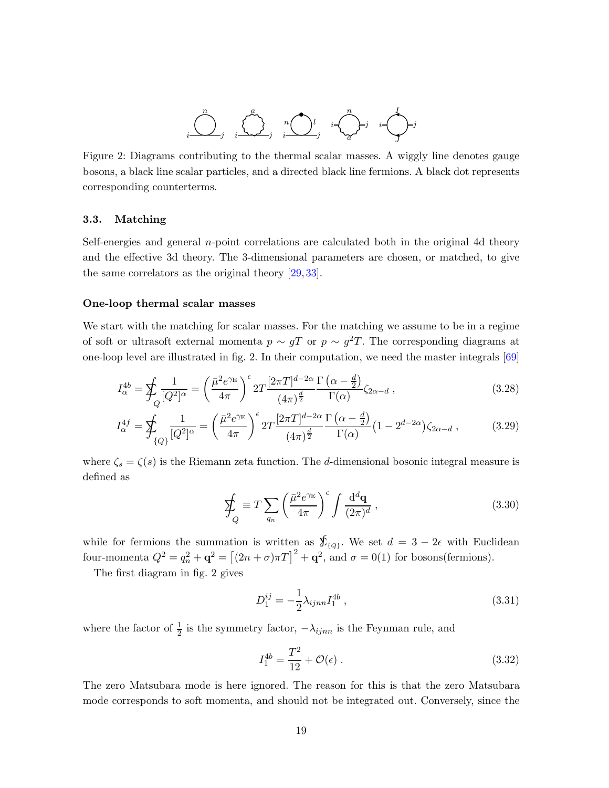

<span id="page-19-1"></span>Figure 2: Diagrams contributing to the thermal scalar masses. A wiggly line denotes gauge bosons, a black line scalar particles, and a directed black line fermions. A black dot represents corresponding counterterms.

#### <span id="page-19-0"></span>3.3. Matching

Self-energies and general n-point correlations are calculated both in the original 4d theory and the effective 3d theory. The 3-dimensional parameters are chosen, or matched, to give the same correlators as the original theory [\[29,](#page-42-10) [33\]](#page-42-8).

#### One-loop thermal scalar masses

We start with the matching for scalar masses. For the matching we assume to be in a regime of soft or ultrasoft external momenta  $p \sim gT$  or  $p \sim g^2T$ . The corresponding diagrams at one-loop level are illustrated in fig. [2.](#page-19-1) In their computation, we need the master integrals [\[69\]](#page-44-15)

$$
I_{\alpha}^{4b} = \sum_{Q} \frac{1}{[Q^2]^{\alpha}} = \left(\frac{\bar{\mu}^2 e^{\gamma_{\rm E}}}{4\pi}\right)^{\epsilon} 2T \frac{[2\pi T]^{d-2\alpha}}{(4\pi)^{\frac{d}{2}}} \frac{\Gamma\left(\alpha - \frac{d}{2}\right)}{\Gamma(\alpha)} \zeta_{2\alpha - d} ,\qquad(3.28)
$$

$$
I_{\alpha}^{4f} = \sum_{\{Q\}} \frac{1}{[Q^2]^{\alpha}} = \left(\frac{\bar{\mu}^2 e^{\gamma_{\rm E}}}{4\pi}\right)^{\epsilon} 2T \frac{[2\pi T]^{d-2\alpha}}{(4\pi)^{\frac{d}{2}}} \frac{\Gamma\left(\alpha - \frac{d}{2}\right)}{\Gamma(\alpha)} \left(1 - 2^{d-2\alpha}\right) \zeta_{2\alpha - d} ,\tag{3.29}
$$

where  $\zeta_s = \zeta(s)$  is the Riemann zeta function. The d-dimensional bosonic integral measure is defined as

<span id="page-19-3"></span><span id="page-19-2"></span>
$$
\oint_{Q} \equiv T \sum_{q_n} \left( \frac{\bar{\mu}^2 e^{\gamma_{\rm E}}}{4\pi} \right)^{\epsilon} \int \frac{\mathrm{d}^d \mathbf{q}}{(2\pi)^d} , \qquad (3.30)
$$

while for fermions the summation is written as  $\oint_{\{Q\}}$ . We set  $d = 3 - 2\epsilon$  with Euclidean four-momenta  $Q^2 = q_n^2 + \mathbf{q}^2 = [(2n + \sigma)\pi T]^2 + \mathbf{q}^2$ , and  $\sigma = 0(1)$  for bosons(fermions).

The first diagram in fig. [2](#page-19-1) gives

$$
D_1^{ij} = -\frac{1}{2}\lambda_{ijnn} I_1^{4b} , \qquad (3.31)
$$

where the factor of  $\frac{1}{2}$  is the symmetry factor,  $-\lambda_{ijnn}$  is the Feynman rule, and

$$
I_1^{4b} = \frac{T^2}{12} + \mathcal{O}(\epsilon) \,. \tag{3.32}
$$

The zero Matsubara mode is here ignored. The reason for this is that the zero Matsubara mode corresponds to soft momenta, and should not be integrated out. Conversely, since the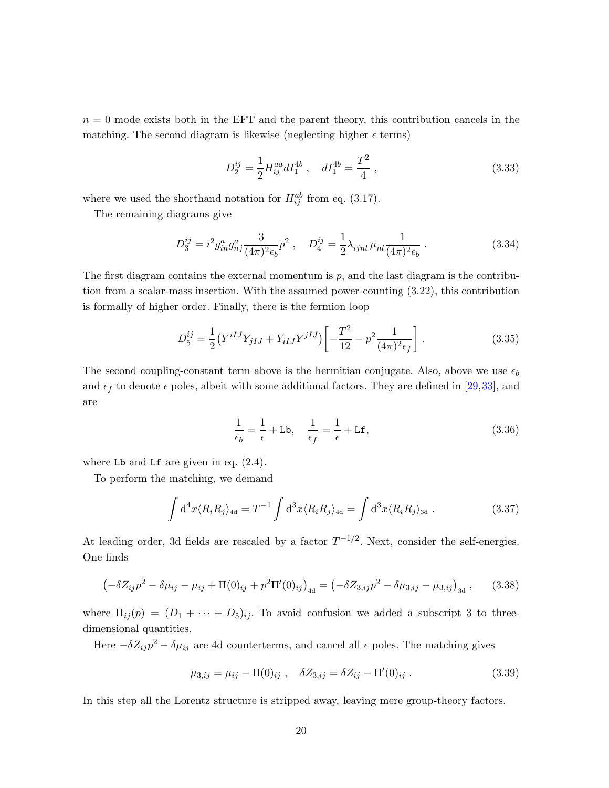$n = 0$  mode exists both in the EFT and the parent theory, this contribution cancels in the matching. The second diagram is likewise (neglecting higher  $\epsilon$  terms)

$$
D_2^{ij} = \frac{1}{2} H_{ij}^{aa} dI_1^{4b} , \quad dI_1^{4b} = \frac{T^2}{4} , \qquad (3.33)
$$

where we used the shorthand notation for  $H_{ij}^{ab}$  from eq. [\(3.17\)](#page-17-1).

The remaining diagrams give

$$
D_3^{ij} = i^2 g_{in}^a g_{nj}^a \frac{3}{(4\pi)^2 \epsilon_b} p^2 \,, \quad D_4^{ij} = \frac{1}{2} \lambda_{ijnl} \,\mu_{nl} \frac{1}{(4\pi)^2 \epsilon_b} \,. \tag{3.34}
$$

The first diagram contains the external momentum is  $p$ , and the last diagram is the contribution from a scalar-mass insertion. With the assumed power-counting [\(3.22\)](#page-18-2), this contribution is formally of higher order. Finally, there is the fermion loop

$$
D_5^{ij} = \frac{1}{2} \left( Y^{iIJ} Y_{jIJ} + Y_{iIJ} Y^{jIJ} \right) \left[ -\frac{T^2}{12} - p^2 \frac{1}{(4\pi)^2 \epsilon_f} \right]. \tag{3.35}
$$

The second coupling-constant term above is the hermitian conjugate. Also, above we use  $\epsilon_b$ and  $\epsilon_f$  to denote  $\epsilon$  poles, albeit with some additional factors. They are defined in [\[29,](#page-42-10)[33\]](#page-42-8), and are

$$
\frac{1}{\epsilon_b} = \frac{1}{\epsilon} + \text{Lb}, \quad \frac{1}{\epsilon_f} = \frac{1}{\epsilon} + \text{Lf}, \tag{3.36}
$$

where Lb and Lf are given in eq.  $(2.4)$ .

To perform the matching, we demand

$$
\int d^4x \langle R_i R_j \rangle_{\text{4d}} = T^{-1} \int d^3x \langle R_i R_j \rangle_{\text{4d}} = \int d^3x \langle R_i R_j \rangle_{\text{3d}} . \tag{3.37}
$$

At leading order, 3d fields are rescaled by a factor  $T^{-1/2}$ . Next, consider the self-energies. One finds

$$
\left(-\delta Z_{ij}p^{2} - \delta \mu_{ij} - \mu_{ij} + \Pi(0)_{ij} + p^{2}\Pi'(0)_{ij}\right)_{4d} = \left(-\delta Z_{3,ij}p^{2} - \delta \mu_{3,ij} - \mu_{3,ij}\right)_{3d},\qquad(3.38)
$$

where  $\Pi_{ij}(p) = (D_1 + \cdots + D_5)_{ij}$ . To avoid confusion we added a subscript 3 to threedimensional quantities.

Here  $-\delta Z_{ij} p^2 - \delta \mu_{ij}$  are 4d counterterms, and cancel all  $\epsilon$  poles. The matching gives

$$
\mu_{3,ij} = \mu_{ij} - \Pi(0)_{ij} , \quad \delta Z_{3,ij} = \delta Z_{ij} - \Pi'(0)_{ij} . \tag{3.39}
$$

In this step all the Lorentz structure is stripped away, leaving mere group-theory factors.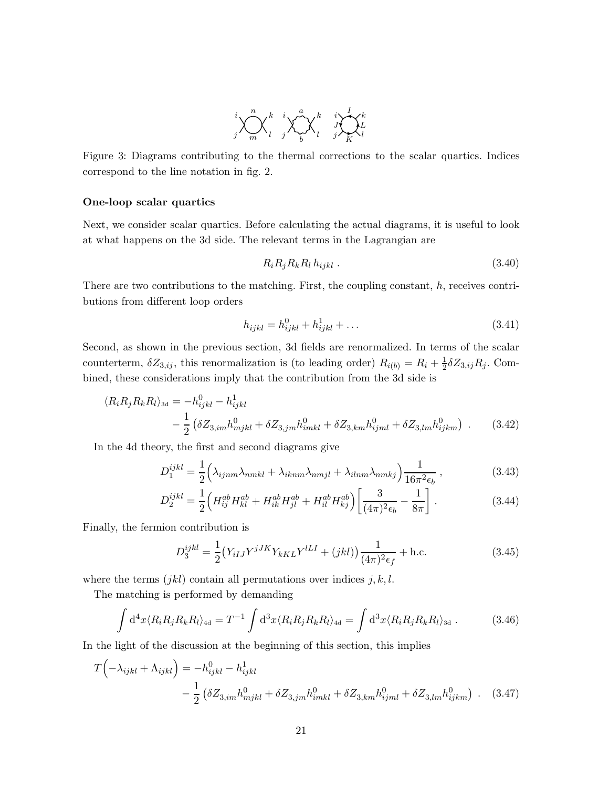

Figure 3: Diagrams contributing to the thermal corrections to the scalar quartics. Indices correspond to the line notation in fig. [2.](#page-19-1)

## One-loop scalar quartics

Next, we consider scalar quartics. Before calculating the actual diagrams, it is useful to look at what happens on the 3d side. The relevant terms in the Lagrangian are

$$
R_i R_j R_k R_l h_{ijkl} \tag{3.40}
$$

There are two contributions to the matching. First, the coupling constant,  $h$ , receives contributions from different loop orders

$$
h_{ijkl} = h_{ijkl}^0 + h_{ijkl}^1 + \dots \tag{3.41}
$$

Second, as shown in the previous section, 3d fields are renormalized. In terms of the scalar counterterm,  $\delta Z_{3,ij}$ , this renormalization is (to leading order)  $R_{i(b)} = R_i + \frac{1}{2}$  $\frac{1}{2} \delta Z_{3,ij} R_j$ . Combined, these considerations imply that the contribution from the 3d side is

$$
\langle R_i R_j R_k R_l \rangle_{3d} = -h_{ijkl}^0 - h_{ijkl}^1
$$
  
 
$$
- \frac{1}{2} \left( \delta Z_{3,im} h_{mjkl}^0 + \delta Z_{3,jm} h_{imkl}^0 + \delta Z_{3,km} h_{ijml}^0 + \delta Z_{3,lm} h_{ijkm}^0 \right) . \tag{3.42}
$$

In the 4d theory, the first and second diagrams give

$$
D_1^{ijkl} = \frac{1}{2} \left( \lambda_{ijnm} \lambda_{nmkl} + \lambda_{iknm} \lambda_{nmjl} + \lambda_{ilnm} \lambda_{nmkj} \right) \frac{1}{16\pi^2 \epsilon_b}, \qquad (3.43)
$$

$$
D_2^{ijkl} = \frac{1}{2} \Big( H_{ij}^{ab} H_{kl}^{ab} + H_{ik}^{ab} H_{jl}^{ab} + H_{il}^{ab} H_{kj}^{ab} \Big) \left[ \frac{3}{(4\pi)^2 \epsilon_b} - \frac{1}{8\pi} \right].
$$
 (3.44)

Finally, the fermion contribution is

$$
D_3^{ijkl} = \frac{1}{2} (Y_{iIJ} Y^{jJK} Y_{kKL} Y^{lLI} + (jkl)) \frac{1}{(4\pi)^2 \epsilon_f} + \text{h.c.}
$$
 (3.45)

where the terms  $(jkl)$  contain all permutations over indices  $j, k, l$ .

The matching is performed by demanding

$$
\int d^4x \langle R_i R_j R_k R_l \rangle_{\text{4d}} = T^{-1} \int d^3x \langle R_i R_j R_k R_l \rangle_{\text{4d}} = \int d^3x \langle R_i R_j R_k R_l \rangle_{\text{3d}} . \tag{3.46}
$$

In the light of the discussion at the beginning of this section, this implies

$$
T(-\lambda_{ijkl} + \Lambda_{ijkl}) = -h_{ijkl}^0 - h_{ijkl}^1
$$
  

$$
- \frac{1}{2} (\delta Z_{3,im} h_{mjkl}^0 + \delta Z_{3,jm} h_{imkl}^0 + \delta Z_{3,km} h_{ijml}^0 + \delta Z_{3,lm} h_{ijkm}^0).
$$
 (3.47)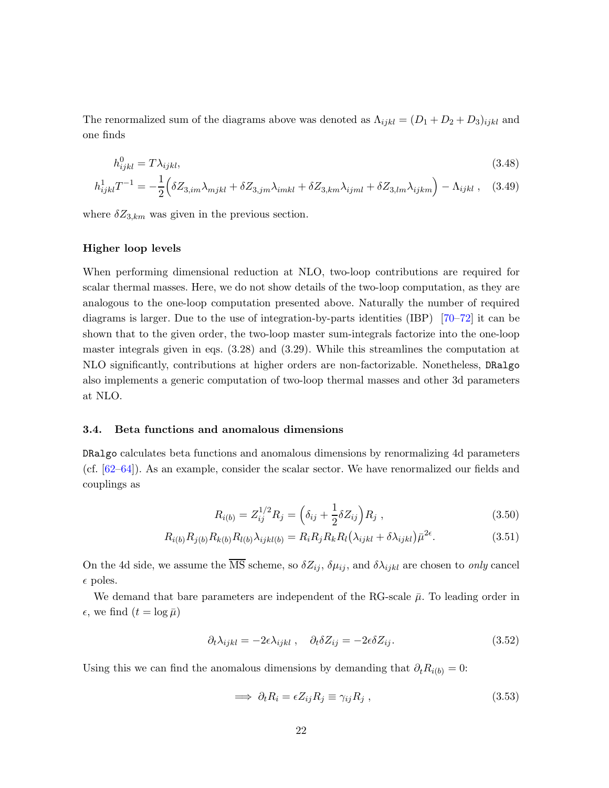The renormalized sum of the diagrams above was denoted as  $\Lambda_{ijkl} = (D_1 + D_2 + D_3)_{ijkl}$  and one finds

$$
h_{ijkl}^0 = T\lambda_{ijkl},\tag{3.48}
$$

$$
h_{ijkl}^1 T^{-1} = -\frac{1}{2} \Big( \delta Z_{3,im} \lambda_{mjkl} + \delta Z_{3,jm} \lambda_{imkl} + \delta Z_{3,km} \lambda_{ijml} + \delta Z_{3,lm} \lambda_{ijkm} \Big) - \Lambda_{ijkl} , \quad (3.49)
$$

where  $\delta Z_{3,km}$  was given in the previous section.

## Higher loop levels

When performing dimensional reduction at NLO, two-loop contributions are required for scalar thermal masses. Here, we do not show details of the two-loop computation, as they are analogous to the one-loop computation presented above. Naturally the number of required diagrams is larger. Due to the use of integration-by-parts identities (IBP) [\[70–](#page-45-0)[72\]](#page-45-1) it can be shown that to the given order, the two-loop master sum-integrals factorize into the one-loop master integrals given in eqs. [\(3.28\)](#page-19-2) and [\(3.29\)](#page-19-3). While this streamlines the computation at NLO significantly, contributions at higher orders are non-factorizable. Nonetheless, DRalgo also implements a generic computation of two-loop thermal masses and other 3d parameters at NLO.

#### <span id="page-22-0"></span>3.4. Beta functions and anomalous dimensions

DRalgo calculates beta functions and anomalous dimensions by renormalizing 4d parameters (cf. [\[62–](#page-44-16)[64\]](#page-44-2)). As an example, consider the scalar sector. We have renormalized our fields and couplings as

$$
R_{i(b)} = Z_{ij}^{1/2} R_j = \left(\delta_{ij} + \frac{1}{2} \delta Z_{ij}\right) R_j , \qquad (3.50)
$$

$$
R_{i(b)}R_{j(b)}R_{k(b)}R_{l(b)}\lambda_{ijkl(b)} = R_iR_jR_kR_l(\lambda_{ijkl} + \delta\lambda_{ijkl})\bar{\mu}^{2\epsilon}.
$$
\n(3.51)

On the 4d side, we assume the  $\overline{\text{MS}}$  scheme, so  $\delta Z_{ij}$ ,  $\delta \mu_{ij}$ , and  $\delta \lambda_{ijkl}$  are chosen to *only* cancel  $\epsilon$  poles.

We demand that bare parameters are independent of the RG-scale  $\bar{\mu}$ . To leading order in  $\epsilon$ , we find  $(t = \log \bar{\mu})$ 

$$
\partial_t \lambda_{ijkl} = -2\epsilon \lambda_{ijkl} , \quad \partial_t \delta Z_{ij} = -2\epsilon \delta Z_{ij} . \tag{3.52}
$$

Using this we can find the anomalous dimensions by demanding that  $\partial_t R_{i(b)} = 0$ :

$$
\implies \partial_t R_i = \epsilon Z_{ij} R_j \equiv \gamma_{ij} R_j , \qquad (3.53)
$$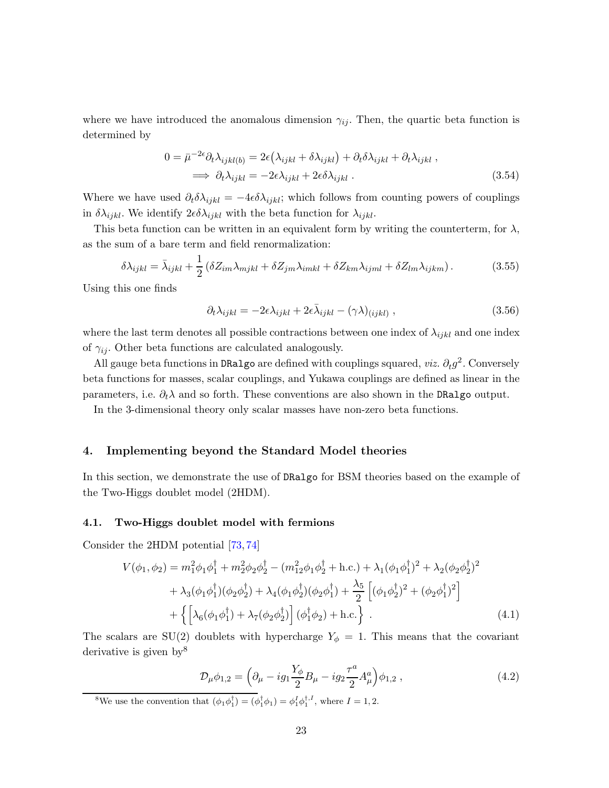where we have introduced the anomalous dimension  $\gamma_{ij}$ . Then, the quartic beta function is determined by

$$
0 = \bar{\mu}^{-2\epsilon} \partial_t \lambda_{ijkl(b)} = 2\epsilon (\lambda_{ijkl} + \delta \lambda_{ijkl}) + \partial_t \delta \lambda_{ijkl} + \partial_t \lambda_{ijkl} ,
$$
  

$$
\implies \partial_t \lambda_{ijkl} = -2\epsilon \lambda_{ijkl} + 2\epsilon \delta \lambda_{ijkl} .
$$
 (3.54)

Where we have used  $\partial_t \delta \lambda_{ijkl} = -4\epsilon \delta \lambda_{ijkl}$ ; which follows from counting powers of couplings in  $\delta \lambda_{ijkl}$ . We identify  $2\epsilon \delta \lambda_{ijkl}$  with the beta function for  $\lambda_{ijkl}$ .

This beta function can be written in an equivalent form by writing the counterterm, for  $\lambda$ , as the sum of a bare term and field renormalization:

$$
\delta \lambda_{ijkl} = \bar{\lambda}_{ijkl} + \frac{1}{2} \left( \delta Z_{im} \lambda_{mjkl} + \delta Z_{jm} \lambda_{imkl} + \delta Z_{km} \lambda_{ijml} + \delta Z_{lm} \lambda_{ijkm} \right). \tag{3.55}
$$

Using this one finds

$$
\partial_t \lambda_{ijkl} = -2\epsilon \lambda_{ijkl} + 2\epsilon \bar{\lambda}_{ijkl} - (\gamma \lambda)_{(ijkl)} , \qquad (3.56)
$$

where the last term denotes all possible contractions between one index of  $\lambda_{ijkl}$  and one index of  $\gamma_{ij}$ . Other beta functions are calculated analogously.

All gauge beta functions in DRalgo are defined with couplings squared,  $viz$ .  $\partial_t g^2$ . Conversely beta functions for masses, scalar couplings, and Yukawa couplings are defined as linear in the parameters, i.e.  $\partial_t \lambda$  and so forth. These conventions are also shown in the DRalgo output.

In the 3-dimensional theory only scalar masses have non-zero beta functions.

## <span id="page-23-0"></span>4. Implementing beyond the Standard Model theories

In this section, we demonstrate the use of DRalgo for BSM theories based on the example of the Two-Higgs doublet model (2HDM).

## <span id="page-23-1"></span>4.1. Two-Higgs doublet model with fermions

Consider the 2HDM potential [\[73,](#page-45-2) [74\]](#page-45-3)

$$
V(\phi_1, \phi_2) = m_1^2 \phi_1 \phi_1^{\dagger} + m_2^2 \phi_2 \phi_2^{\dagger} - (m_{12}^2 \phi_1 \phi_2^{\dagger} + \text{h.c.}) + \lambda_1 (\phi_1 \phi_1^{\dagger})^2 + \lambda_2 (\phi_2 \phi_2^{\dagger})^2 + \lambda_3 (\phi_1 \phi_1^{\dagger}) (\phi_2 \phi_2^{\dagger}) + \lambda_4 (\phi_1 \phi_2^{\dagger}) (\phi_2 \phi_1^{\dagger}) + \frac{\lambda_5}{2} \left[ (\phi_1 \phi_2^{\dagger})^2 + (\phi_2 \phi_1^{\dagger})^2 \right] + \left\{ \left[ \lambda_6 (\phi_1 \phi_1^{\dagger}) + \lambda_7 (\phi_2 \phi_2^{\dagger}) \right] (\phi_1^{\dagger} \phi_2) + \text{h.c.} \right\} .
$$
 (4.1)

The scalars are SU(2) doublets with hypercharge  $Y_{\phi} = 1$ . This means that the covariant derivative is given by<sup>[8](#page-23-2)</sup>

<span id="page-23-4"></span><span id="page-23-3"></span>
$$
\mathcal{D}_{\mu}\phi_{1,2} = \left(\partial_{\mu} - ig_1 \frac{Y_{\phi}}{2} B_{\mu} - ig_2 \frac{\tau^a}{2} A_{\mu}^a \right) \phi_{1,2} ,\qquad (4.2)
$$

<span id="page-23-2"></span><sup>8</sup>We use the convention that  $(\phi_1 \phi_1^{\dagger}) = (\phi_1^{\dagger} \phi_1) = \phi_1^I \phi_1^{\dagger,I}$ , where  $I = 1, 2$ .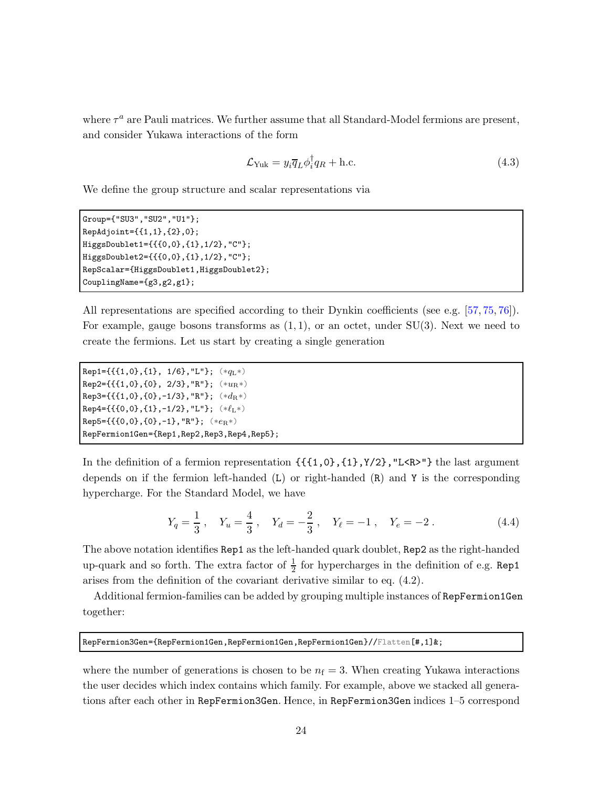where  $\tau^a$  are Pauli matrices. We further assume that all Standard-Model fermions are present, and consider Yukawa interactions of the form

$$
\mathcal{L}_{\text{Yuk}} = y_i \overline{q}_L \phi_i^{\dagger} q_R + \text{h.c.} \tag{4.3}
$$

We define the group structure and scalar representations via

```
Group={"SU3","SU2","U1"};
RepAdjoint={{1,1},{2},0};
HiggsDoublet1={{{0,0},{1},1/2},"C"};
HiggsDoublet2={{{0,0},{1},1/2},"C"};
RepScalar={HiggsDoublet1,HiggsDoublet2};
CouplingName={g3,g2,g1};
```
All representations are specified according to their Dynkin coefficients (see e.g. [\[57,](#page-44-0) [75,](#page-45-4) [76\]](#page-45-5)). For example, gauge bosons transforms as  $(1, 1)$ , or an octet, under SU(3). Next we need to create the fermions. Let us start by creating a single generation

```
Rep1={{{1,0},{1}, 1/6}, "L"}; (*q_L*)Rep2={{{1,0},{0}, 2/3}, "R"}; (**u_R*)Rep3={{{1,0},{0},-1/3},"R"}; (*d_R*)Rep4 = {\{\{0,0\},\{1\},-1/2\}, "L"\}; (*\ell_L*)
Rep5 = \{ \{ \{0, 0\}, \{0\}, -1 \}, "R"}; (**e_{R}*)RepFermion1Gen={Rep1,Rep2,Rep3,Rep4,Rep5};
```
In the definition of a fermion representation {{{1,0},{1},Y/2},"L<R>"} the last argument depends on if the fermion left-handed  $(L)$  or right-handed  $(R)$  and Y is the corresponding hypercharge. For the Standard Model, we have

<span id="page-24-0"></span>
$$
Y_q = \frac{1}{3}
$$
,  $Y_u = \frac{4}{3}$ ,  $Y_d = -\frac{2}{3}$ ,  $Y_\ell = -1$ ,  $Y_\ell = -2$ . (4.4)

The above notation identifies Rep1 as the left-handed quark doublet, Rep2 as the right-handed up-quark and so forth. The extra factor of  $\frac{1}{2}$  for hypercharges in the definition of e.g. Rep1 arises from the definition of the covariant derivative similar to eq. [\(4.2\)](#page-23-3).

Additional fermion-families can be added by grouping multiple instances of RepFermion1Gen together:

RepFermion3Gen={RepFermion1Gen,RepFermion1Gen,RepFermion1Gen}//Flatten[#,1]&;

where the number of generations is chosen to be  $n_f = 3$ . When creating Yukawa interactions the user decides which index contains which family. For example, above we stacked all generations after each other in RepFermion3Gen. Hence, in RepFermion3Gen indices 1–5 correspond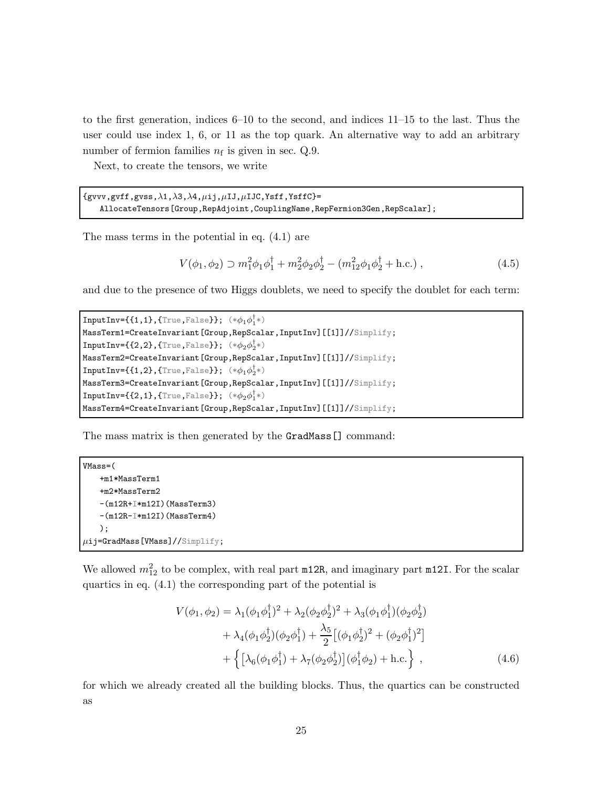to the first generation, indices 6–10 to the second, and indices 11–15 to the last. Thus the user could use index 1, 6, or 11 as the top quark. An alternative way to add an arbitrary number of fermion families  $n_f$  is given in sec. [Q.9.](#page-32-0)

Next, to create the tensors, we write

 ${gvvv, gvff, gvss, \lambda1, \lambda3, \lambda4, \mu ij, \mu IJ, \mu IJC, Ysff, YsffC}$ = AllocateTensors[Group,RepAdjoint,CouplingName,RepFermion3Gen,RepScalar];

The mass terms in the potential in eq. [\(4.1\)](#page-23-4) are

$$
V(\phi_1, \phi_2) \supset m_1^2 \phi_1 \phi_1^\dagger + m_2^2 \phi_2 \phi_2^\dagger - (m_{12}^2 \phi_1 \phi_2^\dagger + \text{h.c.}), \qquad (4.5)
$$

and due to the presence of two Higgs doublets, we need to specify the doublet for each term:

```
InputInv=\{1,1\}, {True}, False\}; (*\phi_1\phi_1^{\dagger}*)MassTerm1=CreateInvariant[Group,RepScalar,InputInv][[1]]//Simplify;
\texttt{InputInv}=\{\{2,2\},\{\texttt{True},\texttt{False}\}\};\; (*\phi_2\phi_2^\dagger*)MassTerm2=CreateInvariant[Group,RepScalar,InputInv][[1]]//Simplify;
InputInv={\{1,2\}, {True, False}}; (*\phi_1\phi_2^{\dagger}*)MassTerm3=CreateInvariant[Group,RepScalar,InputInv][[1]]//Simplify;
InputInv=\{\{2,1\},\{\text{True},\text{False}\}\}; (*\phi_2\phi_1^{\dagger}*)MassTerm4=CreateInvariant[Group,RepScalar,InputInv][[1]]//Simplify;
```
The mass matrix is then generated by the GradMass[] command:

```
VMass=(
   +m1*MassTerm1
   +m2*MassTerm2
   -(m12R+I*m12I)(MassTerm3)
   -(m12R-\text{Im}12I)(MassTerm4));
\muij=GradMass[VMass]//Simplify;
```
We allowed  $m_{12}^2$  to be complex, with real part  $m12R$ , and imaginary part  $m12I$ . For the scalar quartics in eq. [\(4.1\)](#page-23-4) the corresponding part of the potential is

$$
V(\phi_1, \phi_2) = \lambda_1 (\phi_1 \phi_1^{\dagger})^2 + \lambda_2 (\phi_2 \phi_2^{\dagger})^2 + \lambda_3 (\phi_1 \phi_1^{\dagger}) (\phi_2 \phi_2^{\dagger})
$$
  
+  $\lambda_4 (\phi_1 \phi_2^{\dagger}) (\phi_2 \phi_1^{\dagger}) + \frac{\lambda_5}{2} [(\phi_1 \phi_2^{\dagger})^2 + (\phi_2 \phi_1^{\dagger})^2]$   
+  $\{ [\lambda_6 (\phi_1 \phi_1^{\dagger}) + \lambda_7 (\phi_2 \phi_2^{\dagger})] (\phi_1^{\dagger} \phi_2) + \text{h.c.} \},$  (4.6)

for which we already created all the building blocks. Thus, the quartics can be constructed as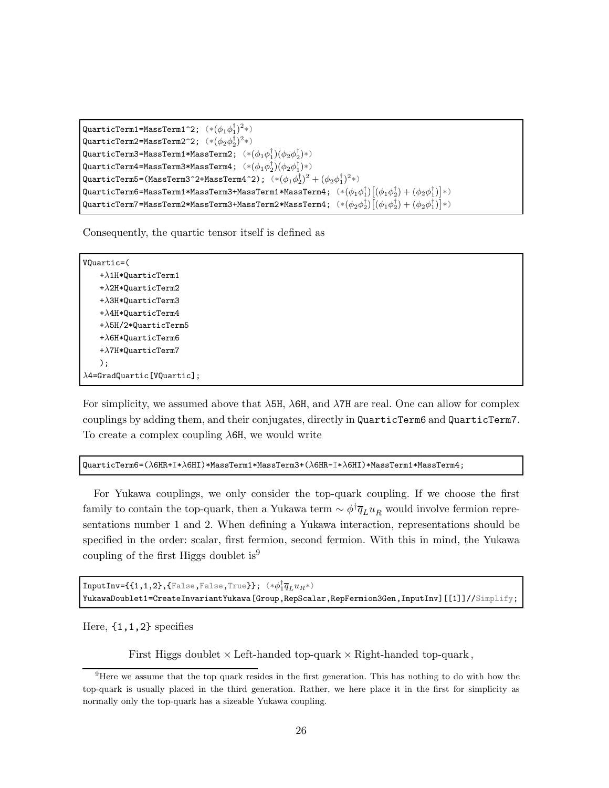```
QuarticTerm1=MassTerm1^2; (* (\phi_1 \phi_1^\dagger)^2 *)QuarticTerm2=MassTerm2^2; (* (\phi_2 \phi_2^{\dagger})^2 *)QuarticTerm3=MassTerm1*MassTerm2; (* (\phi_1 \phi_1^\dagger) (\phi_2 \phi_2^\dagger) *)QuarticTerm4=MassTerm3*MassTerm4; (*(\phi_1 \phi_2^\dagger)(\phi_2 \phi_1^\dagger)*)QuarticTerm5=(MassTerm3^2+MassTerm4^2); (* (\phi_1 \phi_2^{\dagger})^2 + (\phi_2 \phi_1^{\dagger})^2*)QuarticTerm6=MassTerm1*MassTerm3+MassTerm1*MassTerm4; (*(\phi_1\phi_1^\dagger)[(\phi_1\phi_2^\dagger)+(\phi_2\phi_1^\dagger)]*)QuarticTerm7=MassTerm2*MassTerm3+MassTerm2*MassTerm4; (*(\phi_2\phi_2^\dagger)[(\phi_1\phi_2^\dagger)+(\phi_2\phi_1^\dagger)]*)
```
Consequently, the quartic tensor itself is defined as

VQuartic=(  $+\lambda$ 1H\*QuarticTerm1  $+\lambda$ 2H\*QuarticTerm2 +λ3H\*QuarticTerm3 +λ4H\*QuarticTerm4 +λ5H/2\*QuarticTerm5 +λ6H\*QuarticTerm6  $+\lambda$ 7H\*QuarticTerm7 );  $\lambda$ 4=GradQuartic[VQuartic];

For simplicity, we assumed above that  $\lambda$ 5H,  $\lambda$ 6H, and  $\lambda$ 7H are real. One can allow for complex couplings by adding them, and their conjugates, directly in QuarticTerm6 and QuarticTerm7. To create a complex coupling  $\lambda$ 6H, we would write

QuarticTerm6=(λ6HR+I\*λ6HI)\*MassTerm1\*MassTerm3+(λ6HR-I\*λ6HI)\*MassTerm1\*MassTerm4;

For Yukawa couplings, we only consider the top-quark coupling. If we choose the first family to contain the top-quark, then a Yukawa term  $\sim \phi^{\dagger} \overline{q}_L u_R$  would involve fermion representations number 1 and 2. When defining a Yukawa interaction, representations should be specified in the order: scalar, first fermion, second fermion. With this in mind, the Yukawa coupling of the first Higgs doublet is<sup>[9](#page-26-0)</sup>

 $\texttt{InputInv}=\{\{1,1,2\},\{\texttt{False},\texttt{False},\texttt{True}\}\};~~(*\phi_1^\dagger \overline{q}_L u_R*)$ YukawaDoublet1=CreateInvariantYukawa[Group,RepScalar,RepFermion3Gen,InputInv][[1]]//Simplify;

Here,  $\{1,1,2\}$  specifies

First Higgs doublet  $\times$  Left-handed top-quark  $\times$  Right-handed top-quark,

<span id="page-26-0"></span><sup>9</sup>Here we assume that the top quark resides in the first generation. This has nothing to do with how the top-quark is usually placed in the third generation. Rather, we here place it in the first for simplicity as normally only the top-quark has a sizeable Yukawa coupling.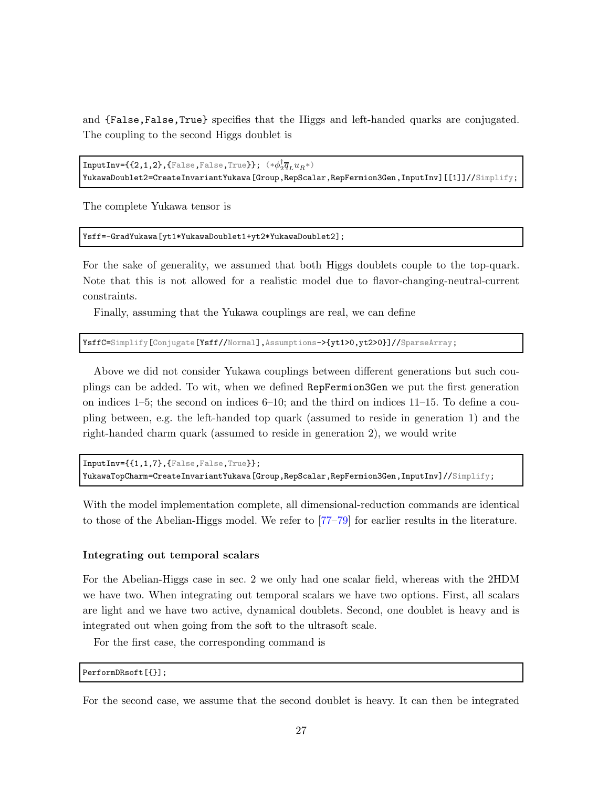and {False,False,True} specifies that the Higgs and left-handed quarks are conjugated. The coupling to the second Higgs doublet is

```
\texttt{InputInv}=\{ \{2,1,2\}, \{\texttt{False}, \texttt{False}, \texttt{True} \} \}; \;\; (*\phi_2^\dagger \overline{q}_L u_R*)YukawaDoublet2=CreateInvariantYukawa[Group,RepScalar,RepFermion3Gen,InputInv][[1]]//Simplify;
```
The complete Yukawa tensor is

Ysff=-GradYukawa[yt1\*YukawaDoublet1+yt2\*YukawaDoublet2];

For the sake of generality, we assumed that both Higgs doublets couple to the top-quark. Note that this is not allowed for a realistic model due to flavor-changing-neutral-current constraints.

Finally, assuming that the Yukawa couplings are real, we can define

YsffC=Simplify[Conjugate[Ysff//Normal],Assumptions->{yt1>0,yt2>0}]//SparseArray;

Above we did not consider Yukawa couplings between different generations but such couplings can be added. To wit, when we defined RepFermion3Gen we put the first generation on indices 1–5; the second on indices 6–10; and the third on indices 11–15. To define a coupling between, e.g. the left-handed top quark (assumed to reside in generation 1) and the right-handed charm quark (assumed to reside in generation 2), we would write

```
InputInv={{1,1,7},{False,False,True}};
YukawaTopCharm=CreateInvariantYukawa[Group,RepScalar,RepFermion3Gen,InputInv]//Simplify;
```
With the model implementation complete, all dimensional-reduction commands are identical to those of the Abelian-Higgs model. We refer to [\[77–](#page-45-6)[79\]](#page-45-7) for earlier results in the literature.

#### Integrating out temporal scalars

For the Abelian-Higgs case in sec. [2](#page-8-0) we only had one scalar field, whereas with the 2HDM we have two. When integrating out temporal scalars we have two options. First, all scalars are light and we have two active, dynamical doublets. Second, one doublet is heavy and is integrated out when going from the soft to the ultrasoft scale.

For the first case, the corresponding command is

PerformDRsoft[{}];

For the second case, we assume that the second doublet is heavy. It can then be integrated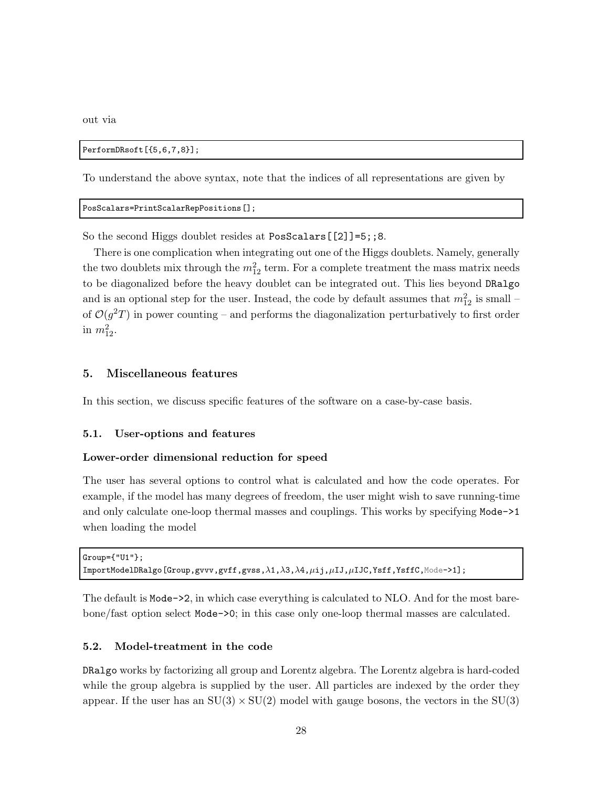out via

```
PerformDRsoft[{5,6,7,8}];
```
To understand the above syntax, note that the indices of all representations are given by

```
PosScalars=PrintScalarRepPositions[];
```
So the second Higgs doublet resides at PosScalars [[2]]=5;;8.

There is one complication when integrating out one of the Higgs doublets. Namely, generally the two doublets mix through the  $m_{12}^2$  term. For a complete treatment the mass matrix needs to be diagonalized before the heavy doublet can be integrated out. This lies beyond DRalgo and is an optional step for the user. Instead, the code by default assumes that  $m_{12}^2$  is small – of  $\mathcal{O}(g^2T)$  in power counting – and performs the diagonalization perturbatively to first order in  $m_{12}^2$ .

## <span id="page-28-0"></span>5. Miscellaneous features

<span id="page-28-1"></span>In this section, we discuss specific features of the software on a case-by-case basis.

## 5.1. User-options and features

#### Lower-order dimensional reduction for speed

The user has several options to control what is calculated and how the code operates. For example, if the model has many degrees of freedom, the user might wish to save running-time and only calculate one-loop thermal masses and couplings. This works by specifying Mode->1 when loading the model

```
Group={"U1"};
ImportModelDRalgo[Group,gvvv,gvff,gvss,λ1,λ3,λ4,µij,µIJ,µIJC,Ysff,YsffC,Mode->1];
```
The default is Mode->2, in which case everything is calculated to NLO. And for the most barebone/fast option select Mode->0; in this case only one-loop thermal masses are calculated.

## <span id="page-28-2"></span>5.2. Model-treatment in the code

DRalgo works by factorizing all group and Lorentz algebra. The Lorentz algebra is hard-coded while the group algebra is supplied by the user. All particles are indexed by the order they appear. If the user has an  $SU(3) \times SU(2)$  model with gauge bosons, the vectors in the  $SU(3)$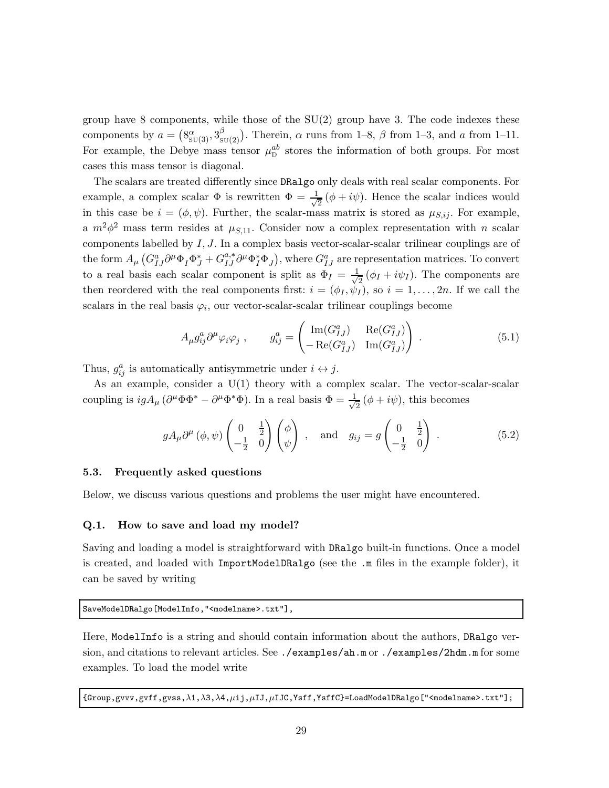group have 8 components, while those of the  $SU(2)$  group have 3. The code indexes these components by  $a = (8^\alpha_{\text{SU}(3)}, 3^\beta_{\text{s}})$  $S_{SU(2)}^{(\beta)}$ . Therein,  $\alpha$  runs from 1–8,  $\beta$  from 1–3, and  $\alpha$  from 1–11. For example, the Debye mass tensor  $\mu_{\rm D}^{ab}$  stores the information of both groups. For most cases this mass tensor is diagonal.

The scalars are treated differently since DRalgo only deals with real scalar components. For example, a complex scalar  $\Phi$  is rewritten  $\Phi = \frac{1}{\sqrt{2}}$  $\frac{1}{2}(\phi + i\psi)$ . Hence the scalar indices would in this case be  $i = (\phi, \psi)$ . Further, the scalar-mass matrix is stored as  $\mu_{S,ij}$ . For example, a  $m^2\phi^2$  mass term resides at  $\mu_{S,11}$ . Consider now a complex representation with n scalar components labelled by  $I, J$ . In a complex basis vector-scalar-scalar trilinear couplings are of the form  $A_\mu$   $(G_{IJ}^a\partial^\mu\Phi_I\Phi_J^* + G_{IJ}^{a,*}\partial^\mu\Phi_I^*\Phi_J)$ , where  $G_{IJ}^a$  are representation matrices. To convert to a real basis each scalar component is split as  $\Phi_I = \frac{1}{\sqrt{2}}$  $\frac{1}{2}(\phi_I + i\psi_I)$ . The components are then reordered with the real components first:  $i = (\phi_I, \psi_I)$ , so  $i = 1, \ldots, 2n$ . If we call the scalars in the real basis  $\varphi_i$ , our vector-scalar-scalar trilinear couplings become

$$
A_{\mu}g_{ij}^a\partial^{\mu}\varphi_i\varphi_j , \qquad g_{ij}^a = \begin{pmatrix} \text{Im}(G_{IJ}^a) & \text{Re}(G_{IJ}^a) \\ -\text{Re}(G_{IJ}^a) & \text{Im}(G_{IJ}^a) \end{pmatrix} . \tag{5.1}
$$

Thus,  $g_{ij}^a$  is automatically antisymmetric under  $i \leftrightarrow j$ .

As an example, consider a  $U(1)$  theory with a complex scalar. The vector-scalar-scalar coupling is  $igA_{\mu}(\partial^{\mu}\Phi\Phi^* - \partial^{\mu}\Phi^*\Phi)$ . In a real basis  $\Phi = \frac{1}{\sqrt{2}}$  $\frac{1}{2}(\phi + i\psi)$ , this becomes

$$
gA_{\mu}\partial^{\mu}(\phi,\psi)\begin{pmatrix}0&\frac{1}{2}\\-\frac{1}{2}&0\end{pmatrix}\begin{pmatrix}\phi\\ \psi\end{pmatrix}
$$
, and  $g_{ij}=g\begin{pmatrix}0&\frac{1}{2}\\-\frac{1}{2}&0\end{pmatrix}$ . (5.2)

#### <span id="page-29-0"></span>5.3. Frequently asked questions

<span id="page-29-1"></span>Below, we discuss various questions and problems the user might have encountered.

#### Q.1. How to save and load my model?

Saving and loading a model is straightforward with DRalgo built-in functions. Once a model is created, and loaded with ImportModelDRalgo (see the .m files in the example folder), it can be saved by writing

SaveModelDRalgo[ModelInfo,"<modelname>.txt"],

Here, ModelInfo is a string and should contain information about the authors, DRalgo version, and citations to relevant articles. See ./examples/ah.m or ./examples/2hdm.m for some examples. To load the model write

 ${Group, gyvv, gyff, gvs, \lambda1, \lambda3, \lambda4, \mu ij, \mu IJ, \mu IJC, Ysff, YsffC}$ =LoadModelDRalgo["<modelname>.txt"];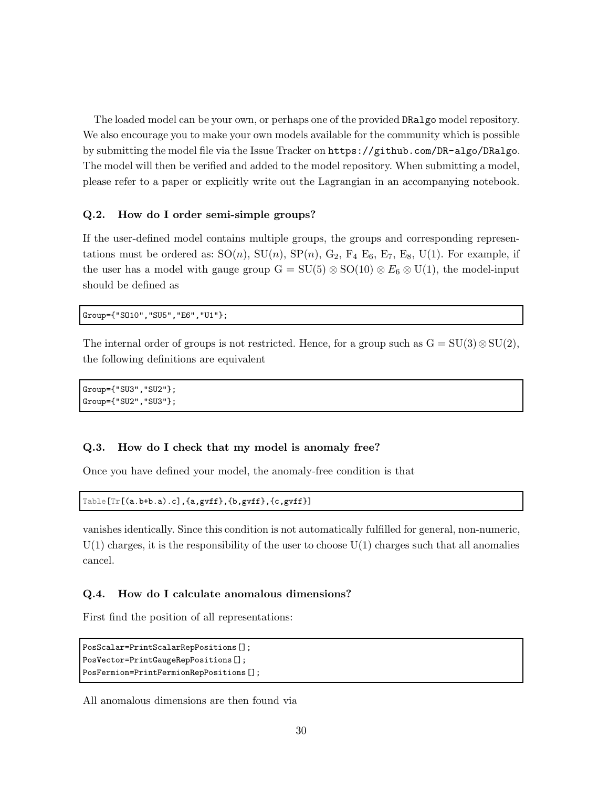The loaded model can be your own, or perhaps one of the provided DRalgo model repository. We also encourage you to make your own models available for the community which is possible by submitting the model file via the Issue Tracker on <https://github.com/DR-algo/DRalgo>. The model will then be verified and added to the model repository. When submitting a model, please refer to a paper or explicitly write out the Lagrangian in an accompanying notebook.

## Q.2. How do I order semi-simple groups?

If the user-defined model contains multiple groups, the groups and corresponding representations must be ordered as:  $SO(n)$ ,  $SU(n)$ ,  $SP(n)$ ,  $G_2$ ,  $F_4$   $E_6$ ,  $E_7$ ,  $E_8$ ,  $U(1)$ . For example, if the user has a model with gauge group  $G = SU(5) \otimes SO(10) \otimes E_6 \otimes U(1)$ , the model-input should be defined as

Group={"SO10","SU5","E6","U1"};

The internal order of groups is not restricted. Hence, for a group such as  $G = SU(3) \otimes SU(2)$ , the following definitions are equivalent

Group={"SU3","SU2"}; Group={"SU2","SU3"};

## Q.3. How do I check that my model is anomaly free?

Once you have defined your model, the anomaly-free condition is that

```
Table[Tr[(a.b+b.a).c],{a,gvff},{b,gvff},{c,gvff}]
```
vanishes identically. Since this condition is not automatically fulfilled for general, non-numeric,  $U(1)$  charges, it is the responsibility of the user to choose  $U(1)$  charges such that all anomalies cancel.

## <span id="page-30-0"></span>Q.4. How do I calculate anomalous dimensions?

First find the position of all representations:

```
PosScalar=PrintScalarRepPositions[];
PosVector=PrintGaugeRepPositions[];
PosFermion=PrintFermionRepPositions[];
```
All anomalous dimensions are then found via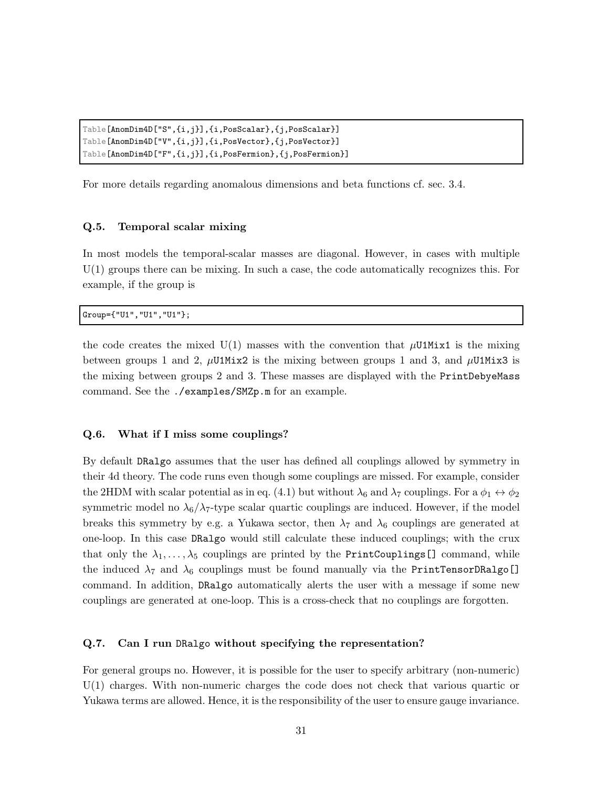```
Table[AnomDim4D["S",{i,j}],{i,PosScalar},{j,PosScalar}]
Table[AnomDim4D["V",{i,j}],{i,PosVector},{j,PosVector}]
Table[AnomDim4D["F",{i,j}],{i,PosFermion},{j,PosFermion}]
```
For more details regarding anomalous dimensions and beta functions cf. sec. [3.4.](#page-22-0)

## Q.5. Temporal scalar mixing

In most models the temporal-scalar masses are diagonal. However, in cases with multiple U(1) groups there can be mixing. In such a case, the code automatically recognizes this. For example, if the group is

Group={"U1","U1","U1"};

the code creates the mixed  $U(1)$  masses with the convention that  $\mu$ U1Mix1 is the mixing between groups 1 and 2,  $\mu$ U1Mix2 is the mixing between groups 1 and 3, and  $\mu$ U1Mix3 is the mixing between groups 2 and 3. These masses are displayed with the PrintDebyeMass command. See the ./examples/SMZp.m for an example.

### Q.6. What if I miss some couplings?

By default DRalgo assumes that the user has defined all couplings allowed by symmetry in their 4d theory. The code runs even though some couplings are missed. For example, consider the 2HDM with scalar potential as in eq. [\(4.1\)](#page-23-4) but without  $\lambda_6$  and  $\lambda_7$  couplings. For a  $\phi_1 \leftrightarrow \phi_2$ symmetric model no  $\lambda_6/\lambda_7$ -type scalar quartic couplings are induced. However, if the model breaks this symmetry by e.g. a Yukawa sector, then  $\lambda_7$  and  $\lambda_6$  couplings are generated at one-loop. In this case DRalgo would still calculate these induced couplings; with the crux that only the  $\lambda_1, \ldots, \lambda_5$  couplings are printed by the PrintCouplings[] command, while the induced  $\lambda_7$  and  $\lambda_6$  couplings must be found manually via the PrintTensorDRalgo[] command. In addition, DRalgo automatically alerts the user with a message if some new couplings are generated at one-loop. This is a cross-check that no couplings are forgotten.

## Q.7. Can I run DRalgo without specifying the representation?

For general groups no. However, it is possible for the user to specify arbitrary (non-numeric) U(1) charges. With non-numeric charges the code does not check that various quartic or Yukawa terms are allowed. Hence, it is the responsibility of the user to ensure gauge invariance.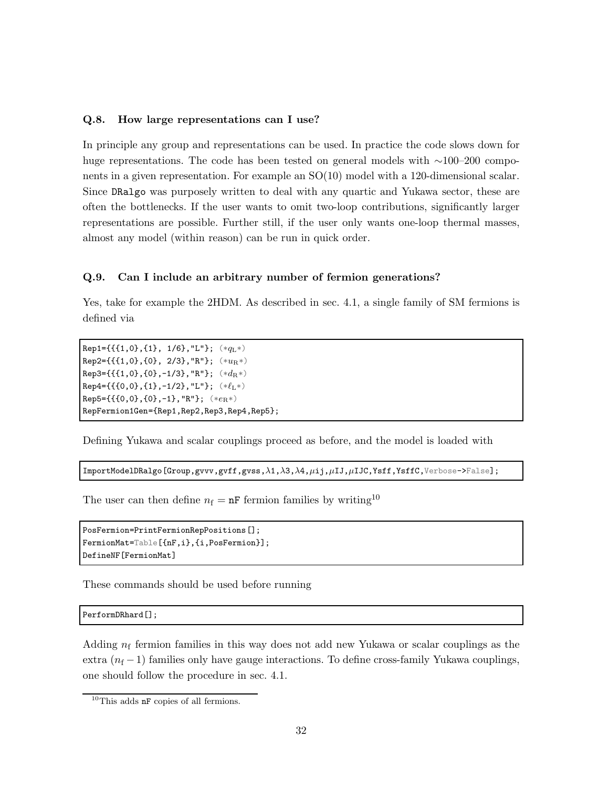## Q.8. How large representations can I use?

In principle any group and representations can be used. In practice the code slows down for huge representations. The code has been tested on general models with ∼100–200 components in a given representation. For example an SO(10) model with a 120-dimensional scalar. Since DRalgo was purposely written to deal with any quartic and Yukawa sector, these are often the bottlenecks. If the user wants to omit two-loop contributions, significantly larger representations are possible. Further still, if the user only wants one-loop thermal masses, almost any model (within reason) can be run in quick order.

#### <span id="page-32-0"></span>Q.9. Can I include an arbitrary number of fermion generations?

Yes, take for example the 2HDM. As described in sec. [4.1,](#page-23-1) a single family of SM fermions is defined via

Rep1={{{1,0},{1}, 1/6},"L"};  $(*q_L*)$ Rep2={{{1,0},{0}, 2/3}, "R"};  $(**u_R*)$ Rep3={{{1,0},{0},-1/3},"R"};  $(*d_R*)$ Rep4={{{0,0},{1},-1/2},"L"};  $(*l_L*)$ Rep5={{ ${0,0}, {0}, -1$ }, "R"}; (\* $e_R$ \*) RepFermion1Gen={Rep1,Rep2,Rep3,Rep4,Rep5};

Defining Yukawa and scalar couplings proceed as before, and the model is loaded with

ImportModelDRalgo[Group,gvvv,gvff,gvss,λ1,λ3,λ4,µij,µIJ,µIJC,Ysff,YsffC,Verbose->False];

The user can then define  $n_f = nF$  fermion families by writing<sup>[10](#page-32-1)</sup>

```
PosFermion=PrintFermionRepPositions[];
FermionMat=Table[{nF,i},{i,PosFermion}];
DefineNF[FermionMat]
```
These commands should be used before running

PerformDRhard[];

Adding  $n_f$  fermion families in this way does not add new Yukawa or scalar couplings as the extra  $(n_f - 1)$  families only have gauge interactions. To define cross-family Yukawa couplings, one should follow the procedure in sec. [4.1.](#page-23-1)

<span id="page-32-1"></span><sup>10</sup>This adds nF copies of all fermions.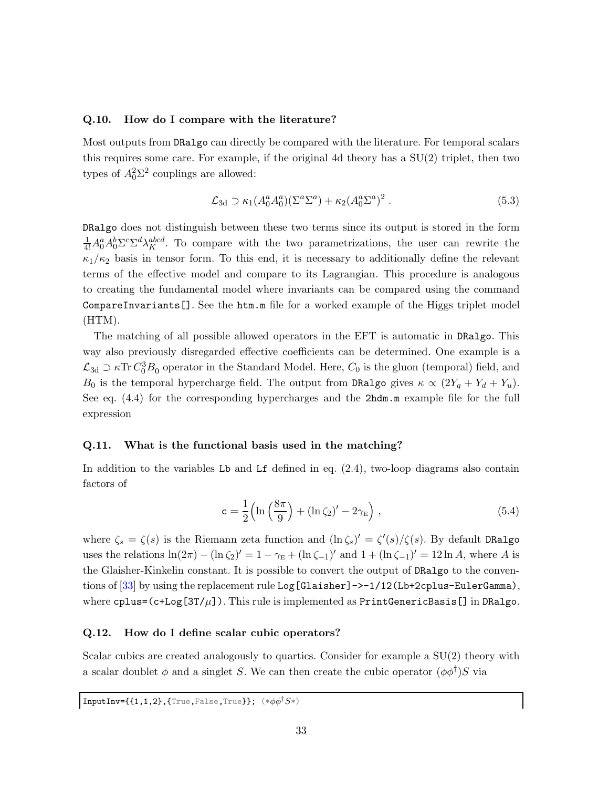#### Q.10. How do I compare with the literature?

Most outputs from DRalgo can directly be compared with the literature. For temporal scalars this requires some care. For example, if the original 4d theory has a SU(2) triplet, then two types of  $A_0^2 \Sigma^2$  couplings are allowed:

$$
\mathcal{L}_{3d} \supset \kappa_1(A_0^a A_0^a)(\Sigma^a \Sigma^a) + \kappa_2(A_0^a \Sigma^a)^2 . \tag{5.3}
$$

DRalgo does not distinguish between these two terms since its output is stored in the form  $\frac{1}{4!}A_0^a A_0^b \Sigma^c \Sigma^d \lambda_K^{abcd}$ . To compare with the two parametrizations, the user can rewrite the  $\kappa_1/\kappa_2$  basis in tensor form. To this end, it is necessary to additionally define the relevant terms of the effective model and compare to its Lagrangian. This procedure is analogous to creating the fundamental model where invariants can be compared using the command CompareInvariants[]. See the htm.m file for a worked example of the Higgs triplet model (HTM).

The matching of all possible allowed operators in the EFT is automatic in DRalgo. This way also previously disregarded effective coefficients can be determined. One example is a  $\mathcal{L}_{3d} \supset \kappa \text{Tr} C_0^3 B_0$  operator in the Standard Model. Here,  $C_0$  is the gluon (temporal) field, and  $B_0$  is the temporal hypercharge field. The output from DRalgo gives  $\kappa \propto (2Y_q + Y_d + Y_u)$ . See eq. [\(4.4\)](#page-24-0) for the corresponding hypercharges and the 2hdm.m example file for the full expression

## <span id="page-33-0"></span>Q.11. What is the functional basis used in the matching?

In addition to the variables  $L\mathbf{b}$  and  $L\mathbf{f}$  defined in eq.  $(2.4)$ , two-loop diagrams also contain factors of

$$
\mathbf{c} = \frac{1}{2} \left( \ln \left( \frac{8\pi}{9} \right) + \left( \ln \zeta_2 \right)' - 2\gamma_{\mathrm{E}} \right),\tag{5.4}
$$

where  $\zeta_s = \zeta(s)$  is the Riemann zeta function and  $(\ln \zeta_s)' = \zeta'(s)/\zeta(s)$ . By default DRalgo uses the relations  $\ln(2\pi) - (\ln \zeta_2)' = 1 - \gamma_E + (\ln \zeta_{-1})'$  and  $1 + (\ln \zeta_{-1})' = 12 \ln A$ , where A is the Glaisher-Kinkelin constant. It is possible to convert the output of DRalgo to the conven-tions of [\[33\]](#page-42-8) by using the replacement rule Log [Glaisher]->-1/12(Lb+2cplus-EulerGamma), where  $c$ plus=( $c$ +Log[3T/ $\mu$ ]). This rule is implemented as PrintGenericBasis[] in DRalgo.

## Q.12. How do I define scalar cubic operators?

Scalar cubics are created analogously to quartics. Consider for example a SU(2) theory with a scalar doublet  $\phi$  and a singlet S. We can then create the cubic operator  $(\phi \phi^{\dagger})S$  via

$$
\texttt{InputInv}=\{\{1,1,2\},\{\texttt{True},\texttt{False},\texttt{True}\}\};\ (\ast\phi\phi^\dagger S*)
$$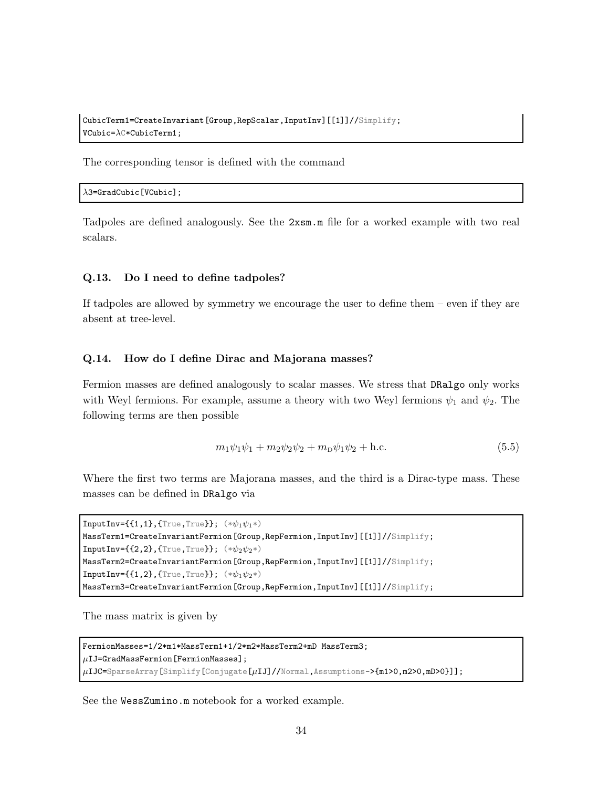CubicTerm1=CreateInvariant[Group,RepScalar,InputInv][[1]]//Simplify;  $VCubic=\lambda C*CubicTerm1;$ 

The corresponding tensor is defined with the command

 $\lambda$ 3=GradCubic[VCubic];

Tadpoles are defined analogously. See the 2xsm.m file for a worked example with two real scalars.

## Q.13. Do I need to define tadpoles?

If tadpoles are allowed by symmetry we encourage the user to define them – even if they are absent at tree-level.

#### Q.14. How do I define Dirac and Majorana masses?

Fermion masses are defined analogously to scalar masses. We stress that DRalgo only works with Weyl fermions. For example, assume a theory with two Weyl fermions  $\psi_1$  and  $\psi_2$ . The following terms are then possible

$$
m_1\psi_1\psi_1 + m_2\psi_2\psi_2 + m_{\rm D}\psi_1\psi_2 + \text{h.c.}
$$
\n(5.5)

Where the first two terms are Majorana masses, and the third is a Dirac-type mass. These masses can be defined in DRalgo via

```
InputInv=\{1,1\}, {True, True}}; (*\psi_1\psi_1*)MassTerm1=CreateInvariantFermion[Group,RepFermion,InputInv][[1]]//Simplify;
InputInv=\{\{2,2\},\{\text{True},\text{True}\}\;;\;(*\psi_2\psi_2*)MassTerm2=CreateInvariantFermion[Group,RepFermion,InputInv][[1]]//Simplify;
InputInv=\{1,2\}, {True, True}}; (*\psi_1\psi_2*)MassTerm3=CreateInvariantFermion[Group,RepFermion,InputInv][[1]]//Simplify;
```
The mass matrix is given by

```
FermionMasses=1/2*m1*MassTerm1+1/2*m2*MassTerm2+mD MassTerm3;
\muIJ=GradMassFermion[FermionMasses];
\muIJC=SparseArray[Simplify[Conjugate[\muIJ]//Normal,Assumptions->{m1>0,m2>0,mD>0}]];
```
See the WessZumino.m notebook for a worked example.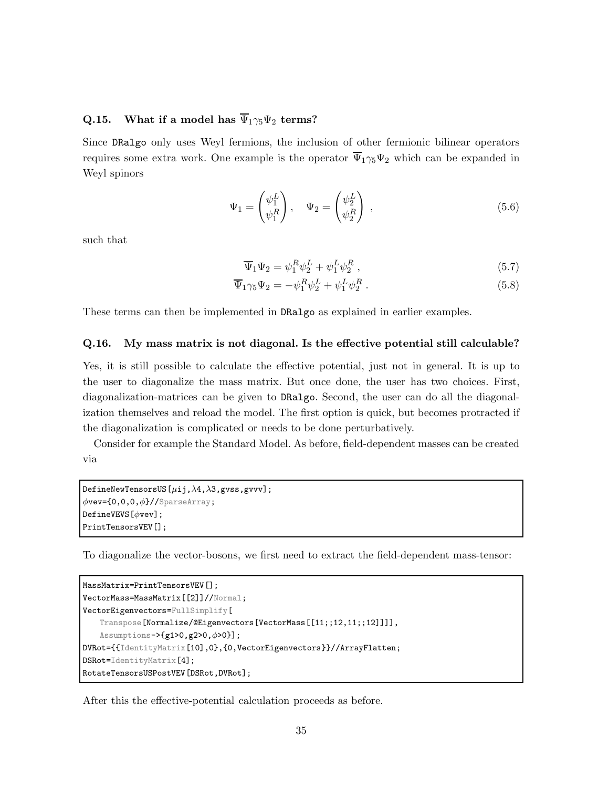# Q.15. What if a model has  $\overline{\Psi}_1 \gamma_5 \Psi_2$  terms?

Since DRalgo only uses Weyl fermions, the inclusion of other fermionic bilinear operators requires some extra work. One example is the operator  $\overline{\Psi}_1 \gamma_5 \Psi_2$  which can be expanded in Weyl spinors

$$
\Psi_1 = \begin{pmatrix} \psi_1^L \\ \psi_1^R \end{pmatrix}, \quad \Psi_2 = \begin{pmatrix} \psi_2^L \\ \psi_2^R \end{pmatrix}, \tag{5.6}
$$

such that

$$
\overline{\Psi}_1 \Psi_2 = \psi_1^R \psi_2^L + \psi_1^L \psi_2^R \,, \tag{5.7}
$$

$$
\overline{\Psi}_1 \gamma_5 \Psi_2 = -\psi_1^R \psi_2^L + \psi_1^L \psi_2^R \,. \tag{5.8}
$$

<span id="page-35-0"></span>These terms can then be implemented in DRalgo as explained in earlier examples.

## Q.16. My mass matrix is not diagonal. Is the effective potential still calculable?

Yes, it is still possible to calculate the effective potential, just not in general. It is up to the user to diagonalize the mass matrix. But once done, the user has two choices. First, diagonalization-matrices can be given to DRalgo. Second, the user can do all the diagonalization themselves and reload the model. The first option is quick, but becomes protracted if the diagonalization is complicated or needs to be done perturbatively.

Consider for example the Standard Model. As before, field-dependent masses can be created via

```
DefineNewTensorsUS[\muij,\lambda4,\lambda3,gvss,gvvv];
\phivev={0,0,0,\phi}//SparseArray;
DefineVEVS[\phivev];
PrintTensorsVEV[];
```
To diagonalize the vector-bosons, we first need to extract the field-dependent mass-tensor:

```
MassMatrix=PrintTensorsVEV[];
VectorMass=MassMatrix[[2]]//Normal;
VectorEigenvectors=FullSimplify[
   Transpose[Normalize/@Eigenvectors[VectorMass[[11;;12,11;;12]]]],
   Assumptions->{g1>0,g2>0,\phi>0}];
DVRot={{IdentityMatrix[10],0},{0,VectorEigenvectors}}//ArrayFlatten;
DSRot=IdentityMatrix[4];
RotateTensorsUSPostVEV[DSRot,DVRot];
```
After this the effective-potential calculation proceeds as before.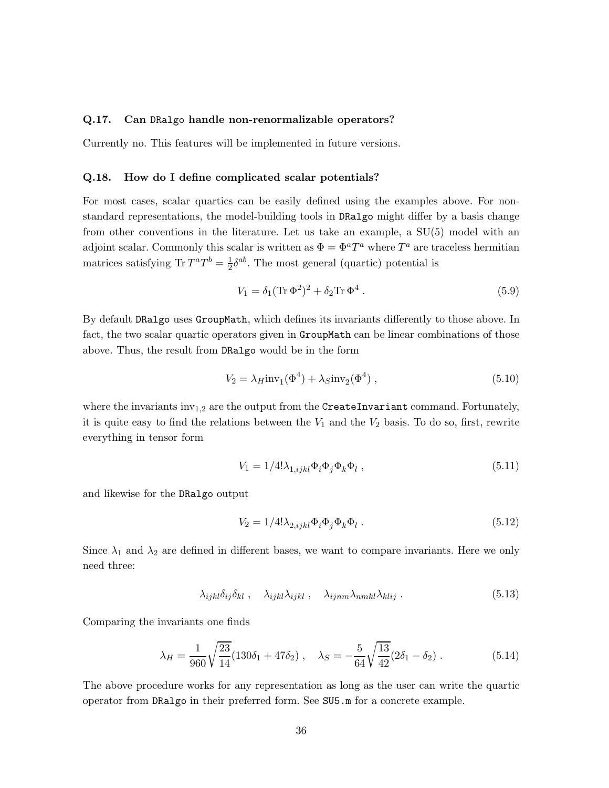## Q.17. Can DRalgo handle non-renormalizable operators?

Currently no. This features will be implemented in future versions.

#### Q.18. How do I define complicated scalar potentials?

For most cases, scalar quartics can be easily defined using the examples above. For nonstandard representations, the model-building tools in DRalgo might differ by a basis change from other conventions in the literature. Let us take an example, a SU(5) model with an adjoint scalar. Commonly this scalar is written as  $\Phi = \Phi^a T^a$  where  $T^a$  are traceless hermitian matrices satisfying Tr  $T^a T^b = \frac{1}{2}$  $\frac{1}{2}\delta^{ab}$ . The most general (quartic) potential is

$$
V_1 = \delta_1 (\text{Tr } \Phi^2)^2 + \delta_2 \text{Tr } \Phi^4 . \tag{5.9}
$$

By default DRalgo uses GroupMath, which defines its invariants differently to those above. In fact, the two scalar quartic operators given in GroupMath can be linear combinations of those above. Thus, the result from DRalgo would be in the form

$$
V_2 = \lambda_H \text{inv}_1(\Phi^4) + \lambda_S \text{inv}_2(\Phi^4) , \qquad (5.10)
$$

where the invariants  $inv_{1,2}$  are the output from the CreateInvariant command. Fortunately, it is quite easy to find the relations between the  $V_1$  and the  $V_2$  basis. To do so, first, rewrite everything in tensor form

$$
V_1 = 1/4! \lambda_{1,ijkl} \Phi_i \Phi_j \Phi_k \Phi_l , \qquad (5.11)
$$

and likewise for the DRalgo output

$$
V_2 = 1/4! \lambda_{2,ijkl} \Phi_i \Phi_j \Phi_k \Phi_l . \qquad (5.12)
$$

Since  $\lambda_1$  and  $\lambda_2$  are defined in different bases, we want to compare invariants. Here we only need three:

$$
\lambda_{ijkl}\delta_{ij}\delta_{kl} , \quad \lambda_{ijkl}\lambda_{ijkl} , \quad \lambda_{ijnm}\lambda_{nmkl}\lambda_{klij} . \tag{5.13}
$$

Comparing the invariants one finds

$$
\lambda_H = \frac{1}{960} \sqrt{\frac{23}{14}} (130\delta_1 + 47\delta_2) , \quad \lambda_S = -\frac{5}{64} \sqrt{\frac{13}{42}} (2\delta_1 - \delta_2) . \tag{5.14}
$$

The above procedure works for any representation as long as the user can write the quartic operator from DRalgo in their preferred form. See SU5.m for a concrete example.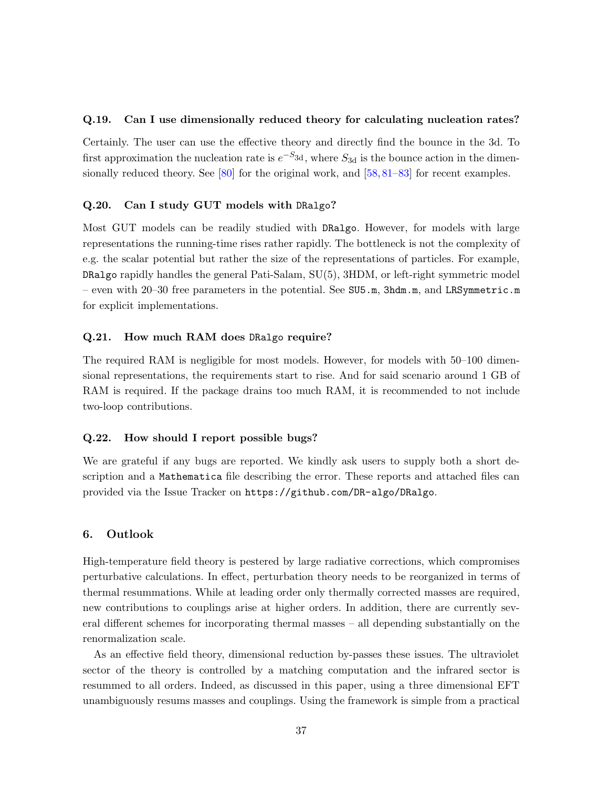## Q.19. Can I use dimensionally reduced theory for calculating nucleation rates?

Certainly. The user can use the effective theory and directly find the bounce in the 3d. To first approximation the nucleation rate is  $e^{-S_{3d}}$ , where  $S_{3d}$  is the bounce action in the dimen-sionally reduced theory. See [\[80\]](#page-45-8) for the original work, and [\[58,](#page-44-8)[81–](#page-45-9)[83\]](#page-45-10) for recent examples.

## Q.20. Can I study GUT models with DRalgo?

Most GUT models can be readily studied with DRalgo. However, for models with large representations the running-time rises rather rapidly. The bottleneck is not the complexity of e.g. the scalar potential but rather the size of the representations of particles. For example, DRalgo rapidly handles the general Pati-Salam, SU(5), 3HDM, or left-right symmetric model – even with 20–30 free parameters in the potential. See SU5.m, 3hdm.m, and LRSymmetric.m for explicit implementations.

## Q.21. How much RAM does DRalgo require?

The required RAM is negligible for most models. However, for models with 50–100 dimensional representations, the requirements start to rise. And for said scenario around 1 GB of RAM is required. If the package drains too much RAM, it is recommended to not include two-loop contributions.

## Q.22. How should I report possible bugs?

We are grateful if any bugs are reported. We kindly ask users to supply both a short description and a Mathematica file describing the error. These reports and attached files can provided via the Issue Tracker on <https://github.com/DR-algo/DRalgo>.

## <span id="page-37-0"></span>6. Outlook

High-temperature field theory is pestered by large radiative corrections, which compromises perturbative calculations. In effect, perturbation theory needs to be reorganized in terms of thermal resummations. While at leading order only thermally corrected masses are required, new contributions to couplings arise at higher orders. In addition, there are currently several different schemes for incorporating thermal masses – all depending substantially on the renormalization scale.

As an effective field theory, dimensional reduction by-passes these issues. The ultraviolet sector of the theory is controlled by a matching computation and the infrared sector is resummed to all orders. Indeed, as discussed in this paper, using a three dimensional EFT unambiguously resums masses and couplings. Using the framework is simple from a practical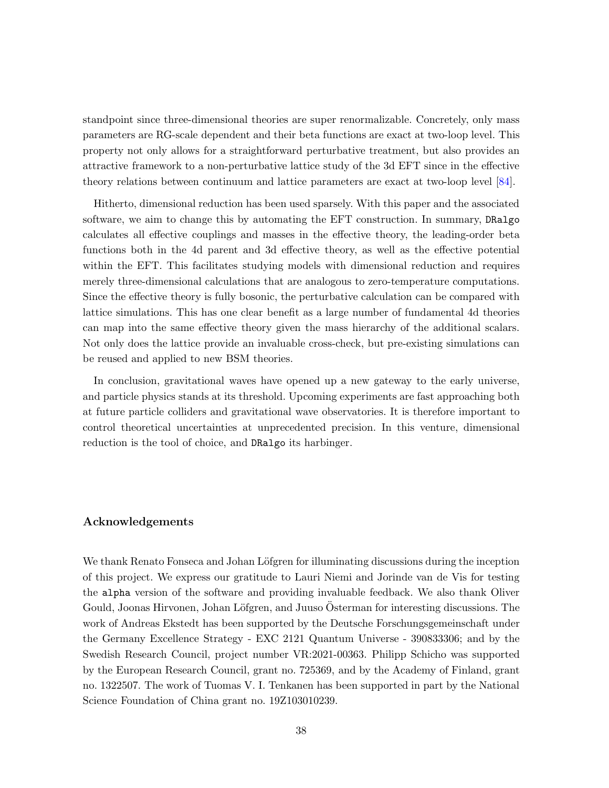standpoint since three-dimensional theories are super renormalizable. Concretely, only mass parameters are RG-scale dependent and their beta functions are exact at two-loop level. This property not only allows for a straightforward perturbative treatment, but also provides an attractive framework to a non-perturbative lattice study of the 3d EFT since in the effective theory relations between continuum and lattice parameters are exact at two-loop level [\[84\]](#page-45-11).

Hitherto, dimensional reduction has been used sparsely. With this paper and the associated software, we aim to change this by automating the EFT construction. In summary, DRalgo calculates all effective couplings and masses in the effective theory, the leading-order beta functions both in the 4d parent and 3d effective theory, as well as the effective potential within the EFT. This facilitates studying models with dimensional reduction and requires merely three-dimensional calculations that are analogous to zero-temperature computations. Since the effective theory is fully bosonic, the perturbative calculation can be compared with lattice simulations. This has one clear benefit as a large number of fundamental 4d theories can map into the same effective theory given the mass hierarchy of the additional scalars. Not only does the lattice provide an invaluable cross-check, but pre-existing simulations can be reused and applied to new BSM theories.

In conclusion, gravitational waves have opened up a new gateway to the early universe, and particle physics stands at its threshold. Upcoming experiments are fast approaching both at future particle colliders and gravitational wave observatories. It is therefore important to control theoretical uncertainties at unprecedented precision. In this venture, dimensional reduction is the tool of choice, and DRalgo its harbinger.

## Acknowledgements

We thank Renato Fonseca and Johan Löfgren for illuminating discussions during the inception of this project. We express our gratitude to Lauri Niemi and Jorinde van de Vis for testing the alpha version of the software and providing invaluable feedback. We also thank Oliver Gould, Joonas Hirvonen, Johan Löfgren, and Juuso Österman for interesting discussions. The work of Andreas Ekstedt has been supported by the Deutsche Forschungsgemeinschaft under the Germany Excellence Strategy - EXC 2121 Quantum Universe - 390833306; and by the Swedish Research Council, project number VR:2021-00363. Philipp Schicho was supported by the European Research Council, grant no. 725369, and by the Academy of Finland, grant no. 1322507. The work of Tuomas V. I. Tenkanen has been supported in part by the National Science Foundation of China grant no. 19Z103010239.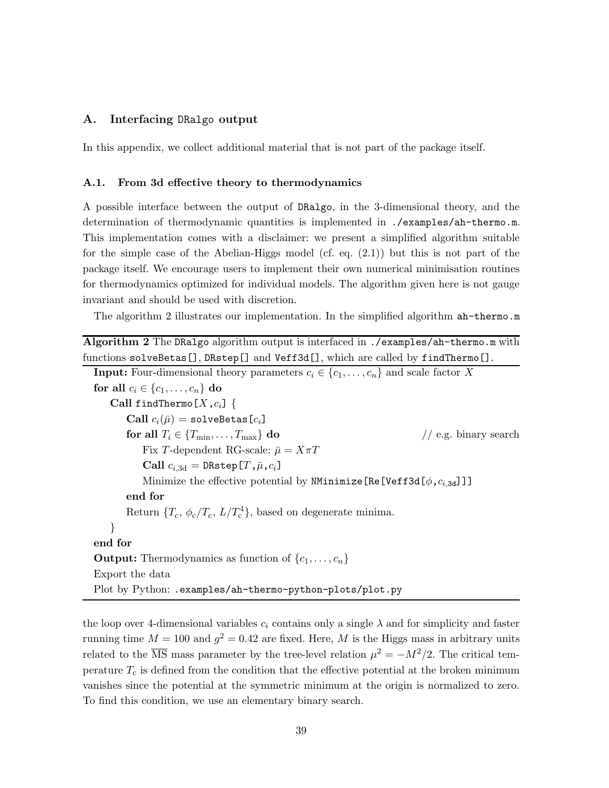## <span id="page-39-0"></span>A. Interfacing DRalgo output

<span id="page-39-1"></span>In this appendix, we collect additional material that is not part of the package itself.

#### A.1. From 3d effective theory to thermodynamics

A possible interface between the output of DRalgo, in the 3-dimensional theory, and the determination of thermodynamic quantities is implemented in ./examples/ah-thermo.m. This implementation comes with a disclaimer: we present a simplified algorithm suitable for the simple case of the Abelian-Higgs model (cf. eq. [\(2.1\)](#page-9-2)) but this is not part of the package itself. We encourage users to implement their own numerical minimisation routines for thermodynamics optimized for individual models. The algorithm given here is not gauge invariant and should be used with discretion.

The algorithm [2](#page-39-2) illustrates our implementation. In the simplified algorithm ah-thermo.m

<span id="page-39-2"></span>Algorithm 2 The DRalgo algorithm output is interfaced in ./examples/ah-thermo.m with functions solveBetas[], DRstep[] and Veff3d[], which are called by findThermo[].

```
Input: Four-dimensional theory parameters c_i \in \{c_1, \ldots, c_n\} and scale factor X
for all c_i \in \{c_1, \ldots, c_n\} do
   Call findThermo[X, c_i] {
       Call c_i(\bar{\mu}) = solveBetas[c_i]
       for all T_i \in \{T_{\min}, \ldots, T_{\max}\}\ do // e.g. binary search
           Fix T-dependent RG-scale: \bar{\mu} = X\pi TCall c_{i,3d} = \mathtt{DRstep}[T,\bar{\mu},c_i]Minimize the effective potential by NMinimize [Re[Veff3d[\phi,c_{i,3d}]]]
       end for
       Return \{T_c, \phi_c/T_c, L/T_c^4\}, based on degenerate minima.
   }
end for
Output: Thermodynamics as function of \{c_1, \ldots, c_n\}Export the data
Plot by Python: .examples/ah-thermo-python-plots/plot.py
```
the loop over 4-dimensional variables  $c_i$  contains only a single  $\lambda$  and for simplicity and faster running time  $M = 100$  and  $g^2 = 0.42$  are fixed. Here, M is the Higgs mass in arbitrary units related to the  $\overline{\text{MS}}$  mass parameter by the tree-level relation  $\mu^2 = -M^2/2$ . The critical temperature  $T_c$  is defined from the condition that the effective potential at the broken minimum vanishes since the potential at the symmetric minimum at the origin is normalized to zero. To find this condition, we use an elementary binary search.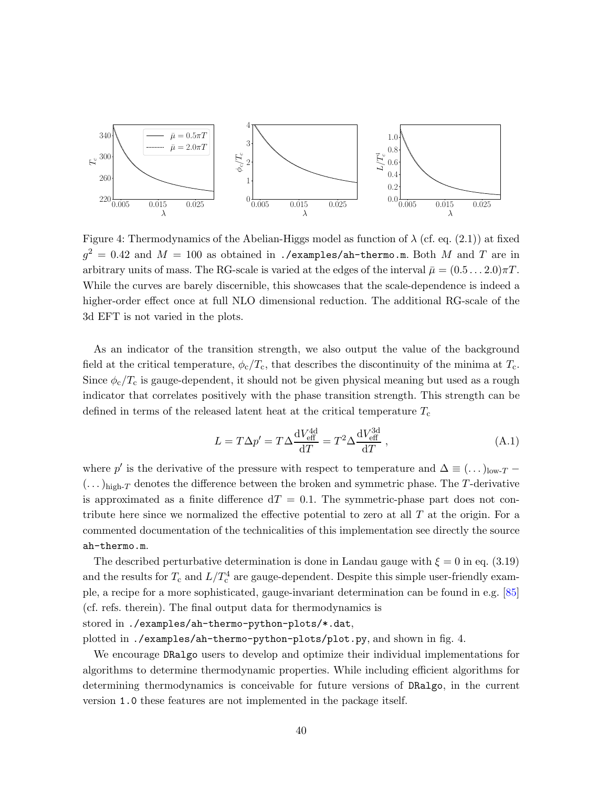

<span id="page-40-0"></span>Figure 4: Thermodynamics of the Abelian-Higgs model as function of  $\lambda$  (cf. eq. [\(2.1\)](#page-9-2)) at fixed  $g^2\,=\,0.42$  and  $M\,=\,100$  as obtained in ./examples/ah-thermo.m. Both  $M$  and  $T$  are in arbitrary units of mass. The RG-scale is varied at the edges of the interval  $\bar{\mu} = (0.5 \dots 2.0)\pi T$ . While the curves are barely discernible, this showcases that the scale-dependence is indeed a higher-order effect once at full NLO dimensional reduction. The additional RG-scale of the 3d EFT is not varied in the plots.

As an indicator of the transition strength, we also output the value of the background field at the critical temperature,  $\phi_c/T_c$ , that describes the discontinuity of the minima at  $T_c$ . Since  $\phi_c/T_c$  is gauge-dependent, it should not be given physical meaning but used as a rough indicator that correlates positively with the phase transition strength. This strength can be defined in terms of the released latent heat at the critical temperature  $T_c$ 

$$
L = T\Delta p' = T\Delta \frac{dV_{\text{eff}}^{\text{4d}}}{dT} = T^2 \Delta \frac{dV_{\text{eff}}^{\text{3d}}}{dT} , \qquad (A.1)
$$

where  $p'$  is the derivative of the pressure with respect to temperature and  $\Delta \equiv (\dots)_{\text{low-}T}$  $(\dots)_{\text{high-}T}$  denotes the difference between the broken and symmetric phase. The T-derivative is approximated as a finite difference  $dT = 0.1$ . The symmetric-phase part does not contribute here since we normalized the effective potential to zero at all  $T$  at the origin. For a commented documentation of the technicalities of this implementation see directly the source ah-thermo.m.

The described perturbative determination is done in Landau gauge with  $\xi = 0$  in eq. [\(3.19\)](#page-17-2) and the results for  $T_c$  and  $L/T_c^4$  are gauge-dependent. Despite this simple user-friendly example, a recipe for a more sophisticated, gauge-invariant determination can be found in e.g. [\[85\]](#page-45-12) (cf. refs. therein). The final output data for thermodynamics is

# stored in ./examples/ah-thermo-python-plots/\*.dat,

plotted in ./examples/ah-thermo-python-plots/plot.py, and shown in fig. [4.](#page-40-0)

We encourage DRalgo users to develop and optimize their individual implementations for algorithms to determine thermodynamic properties. While including efficient algorithms for determining thermodynamics is conceivable for future versions of DRalgo, in the current version 1.0 these features are not implemented in the package itself.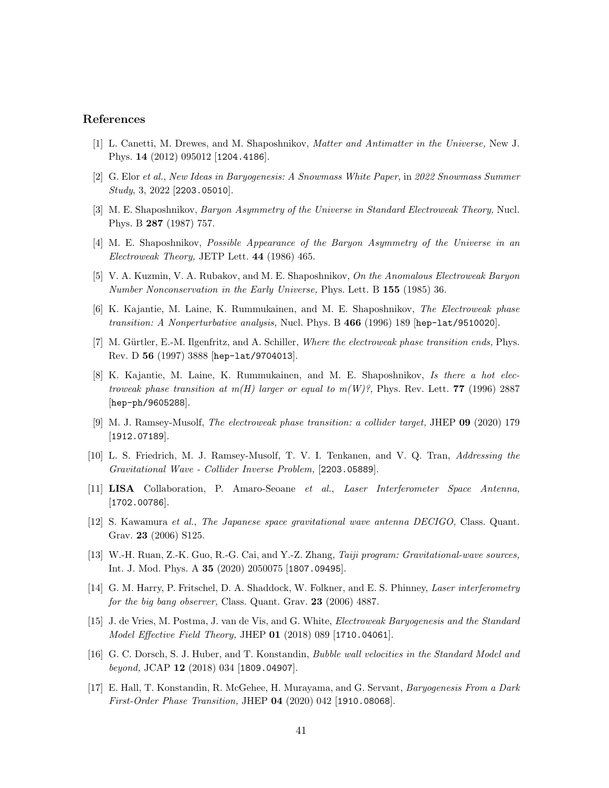# <span id="page-41-0"></span>References

- <span id="page-41-1"></span>[1] L. Canetti, M. Drewes, and M. Shaposhnikov, Matter and Antimatter in the Universe, New J. Phys. 14 (2012) 095012 [[1204.4186](http://arxiv.org/abs/1204.4186)].
- [2] G. Elor et al., New Ideas in Baryogenesis: A Snowmass White Paper, in 2022 Snowmass Summer Study, 3, 2022 [[2203.05010](http://arxiv.org/abs/2203.05010)].
- [3] M. E. Shaposhnikov, Baryon Asymmetry of the Universe in Standard Electroweak Theory, Nucl. Phys. B 287 (1987) 757.
- <span id="page-41-2"></span>[4] M. E. Shaposhnikov, Possible Appearance of the Baryon Asymmetry of the Universe in an Electroweak Theory, JETP Lett. 44 (1986) 465.
- <span id="page-41-3"></span>[5] V. A. Kuzmin, V. A. Rubakov, and M. E. Shaposhnikov, On the Anomalous Electroweak Baryon Number Nonconservation in the Early Universe, [Phys. Lett. B](http://dx.doi.org/10.1016/0370-2693(85)91028-7) 155 (1985) 36.
- [6] K. Kajantie, M. Laine, K. Rummukainen, and M. E. Shaposhnikov, The Electroweak phase transition: A Nonperturbative analysis, [Nucl. Phys. B](http://dx.doi.org/10.1016/0550-3213(96)00052-1) 466 (1996) 189 [hep-1at/9510020].
- <span id="page-41-4"></span>[7] M. Gürtler, E.-M. Ilgenfritz, and A. Schiller, Where the electroweak phase transition ends, Phys. Rev. D 56 (1997) 3888 [[hep-lat/9704013](http://arxiv.org/abs/hep-lat/9704013)].
- [8] K. Kajantie, M. Laine, K. Rummukainen, and M. E. Shaposhnikov, Is there a hot electroweak phase transition at  $m(H)$  larger or equal to  $m(W)$ ?, [Phys. Rev. Lett.](http://dx.doi.org/10.1103/PhysRevLett.77.2887) 77 (1996) 2887 [[hep-ph/9605288](http://arxiv.org/abs/hep-ph/9605288)].
- <span id="page-41-6"></span><span id="page-41-5"></span>[9] M. J. Ramsey-Musolf, The electroweak phase transition: a collider target, JHEP 09 [\(2020\) 179](http://dx.doi.org/10.1007/JHEP09(2020)179) [[1912.07189](http://arxiv.org/abs/1912.07189)].
- <span id="page-41-7"></span>[10] L. S. Friedrich, M. J. Ramsey-Musolf, T. V. I. Tenkanen, and V. Q. Tran, Addressing the Gravitational Wave - Collider Inverse Problem, [[2203.05889](http://arxiv.org/abs/2203.05889)].
- <span id="page-41-8"></span>[11] LISA Collaboration, P. Amaro-Seoane et al., Laser Interferometer Space Antenna, [[1702.00786](http://arxiv.org/abs/1702.00786)].
- <span id="page-41-9"></span>[12] S. Kawamura et al., The Japanese space gravitational wave antenna DECIGO, Class. Quant. Grav. 23 (2006) S125.
- <span id="page-41-10"></span>[13] W.-H. Ruan, Z.-K. Guo, R.-G. Cai, and Y.-Z. Zhang, Taiji program: Gravitational-wave sources, [Int. J. Mod. Phys. A](http://dx.doi.org/10.1142/S0217751X2050075X) 35 (2020) 2050075 [[1807.09495](http://arxiv.org/abs/1807.09495)].
- <span id="page-41-11"></span>[14] G. M. Harry, P. Fritschel, D. A. Shaddock, W. Folkner, and E. S. Phinney, *Laser interferometry* for the big bang observer, [Class. Quant. Grav.](http://dx.doi.org/10.1088/0264-9381/23/15/008) 23 (2006) 4887.
- [15] J. de Vries, M. Postma, J. van de Vis, and G. White, Electroweak Baryogenesis and the Standard Model Effective Field Theory, JHEP 01 [\(2018\) 089](http://dx.doi.org/10.1007/JHEP01(2018)089) [[1710.04061](http://arxiv.org/abs/1710.04061)].
- [16] G. C. Dorsch, S. J. Huber, and T. Konstandin, Bubble wall velocities in the Standard Model and beyond, JCAP 12 [\(2018\) 034](http://dx.doi.org/10.1088/1475-7516/2018/12/034) [[1809.04907](http://arxiv.org/abs/1809.04907)].
- [17] E. Hall, T. Konstandin, R. McGehee, H. Murayama, and G. Servant, Baryogenesis From a Dark First-Order Phase Transition, JHEP 04 [\(2020\) 042](http://dx.doi.org/10.1007/JHEP04(2020)042) [[1910.08068](http://arxiv.org/abs/1910.08068)].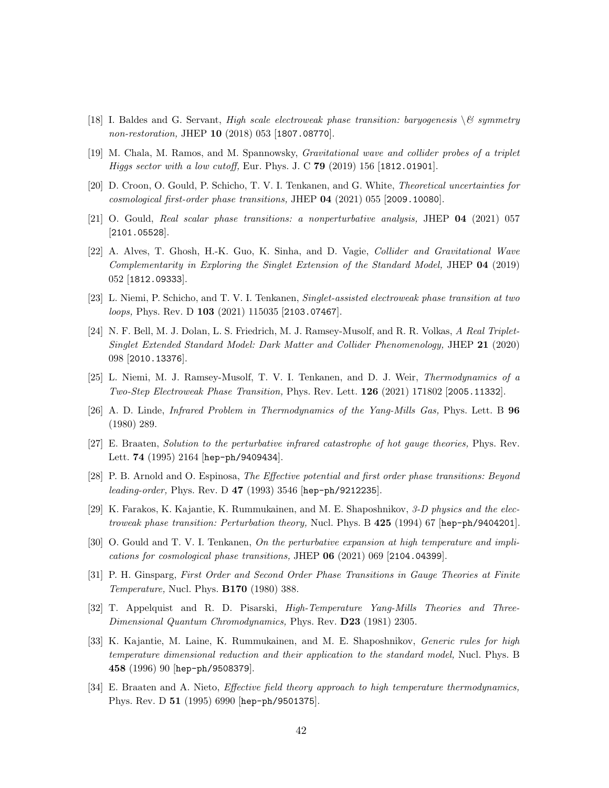- [18] I. Baldes and G. Servant, High scale electroweak phase transition: baryogenesis  $\&$  symmetry non-restoration, JHEP 10 [\(2018\) 053](http://dx.doi.org/10.1007/JHEP10(2018)053) [[1807.08770](http://arxiv.org/abs/1807.08770)].
- <span id="page-42-3"></span>[19] M. Chala, M. Ramos, and M. Spannowsky, Gravitational wave and collider probes of a triplet Higgs sector with a low cutoff, [Eur. Phys. J. C](http://dx.doi.org/10.1140/epjc/s10052-019-6655-1) 79 (2019) 156 [[1812.01901](http://arxiv.org/abs/1812.01901)].
- <span id="page-42-11"></span>[20] D. Croon, O. Gould, P. Schicho, T. V. I. Tenkanen, and G. White, Theoretical uncertainties for cosmological first-order phase transitions, JHEP 04 [\(2021\) 055](http://dx.doi.org/10.1007/JHEP04(2021)055) [[2009.10080](http://arxiv.org/abs/2009.10080)].
- [21] O. Gould, Real scalar phase transitions: a nonperturbative analysis, JHEP 04 [\(2021\) 057](http://dx.doi.org/10.1007/JHEP04(2021)057) [[2101.05528](http://arxiv.org/abs/2101.05528)].
- [22] A. Alves, T. Ghosh, H.-K. Guo, K. Sinha, and D. Vagie, Collider and Gravitational Wave Complementarity in Exploring the Singlet Extension of the Standard Model, JHEP 04 (2019) 052 [[1812.09333](http://arxiv.org/abs/1812.09333)].
- <span id="page-42-12"></span>[23] L. Niemi, P. Schicho, and T. V. I. Tenkanen, Singlet-assisted electroweak phase transition at two loops, Phys. Rev. D 103 [\(2021\) 115035](http://dx.doi.org/10.1103/PhysRevD.103.115035) [[2103.07467](http://arxiv.org/abs/2103.07467)].
- [24] N. F. Bell, M. J. Dolan, L. S. Friedrich, M. J. Ramsey-Musolf, and R. R. Volkas, A Real Triplet-Singlet Extended Standard Model: Dark Matter and Collider Phenomenology, JHEP 21 (2020) 098 [[2010.13376](http://arxiv.org/abs/2010.13376)].
- <span id="page-42-1"></span><span id="page-42-0"></span>[25] L. Niemi, M. J. Ramsey-Musolf, T. V. I. Tenkanen, and D. J. Weir, Thermodynamics of a Two-Step Electroweak Phase Transition, [Phys. Rev. Lett.](http://dx.doi.org/10.1103/PhysRevLett.126.171802) 126 (2021) 171802 [[2005.11332](http://arxiv.org/abs/2005.11332)].
- <span id="page-42-2"></span>[26] A. D. Linde, Infrared Problem in Thermodynamics of the Yang-Mills Gas, Phys. Lett. B 96 (1980) 289.
- <span id="page-42-4"></span>[27] E. Braaten, Solution to the perturbative infrared catastrophe of hot gauge theories, Phys. Rev. Lett. **74** (1995) 2164 [[hep-ph/9409434](http://arxiv.org/abs/hep-ph/9409434)].
- <span id="page-42-10"></span>[28] P. B. Arnold and O. Espinosa, The Effective potential and first order phase transitions: Beyond leading-order, [Phys. Rev. D](http://dx.doi.org/10.1103/PhysRevD.47.3546) 47 (1993) 3546 [[hep-ph/9212235](http://arxiv.org/abs/hep-ph/9212235)].
- <span id="page-42-5"></span>[29] K. Farakos, K. Kajantie, K. Rummukainen, and M. E. Shaposhnikov, 3-D physics and the elec-troweak phase transition: Perturbation theory, [Nucl. Phys. B](http://dx.doi.org/10.1016/0550-3213(94)90173-2) 425 (1994) 67 [[hep-ph/9404201](http://arxiv.org/abs/hep-ph/9404201)]
- <span id="page-42-6"></span>[30] O. Gould and T. V. I. Tenkanen, On the perturbative expansion at high temperature and implications for cosmological phase transitions, JHEP 06 [\(2021\) 069](http://dx.doi.org/10.1007/JHEP06(2021)069) [[2104.04399](http://arxiv.org/abs/2104.04399)].
- [31] P. H. Ginsparg, First Order and Second Order Phase Transitions in Gauge Theories at Finite Temperature, [Nucl. Phys.](http://dx.doi.org/10.1016/0550-3213(80)90418-6) B170 (1980) 388.
- <span id="page-42-7"></span>[32] T. Appelquist and R. D. Pisarski, High-Temperature Yang-Mills Theories and Three-Dimensional Quantum Chromodynamics, Phys. Rev. D23 [\(1981\) 2305.](http://dx.doi.org/10.1103/PhysRevD.23.2305)
- <span id="page-42-8"></span>[33] K. Kajantie, M. Laine, K. Rummukainen, and M. E. Shaposhnikov, Generic rules for high temperature dimensional reduction and their application to the standard model, Nucl. Phys. B 458 (1996) 90 [[hep-ph/9508379](http://arxiv.org/abs/hep-ph/9508379)].
- <span id="page-42-9"></span>[34] E. Braaten and A. Nieto, Effective field theory approach to high temperature thermodynamics, [Phys. Rev. D](http://dx.doi.org/10.1103/PhysRevD.51.6990) 51 (1995) 6990 [[hep-ph/9501375](http://arxiv.org/abs/hep-ph/9501375)].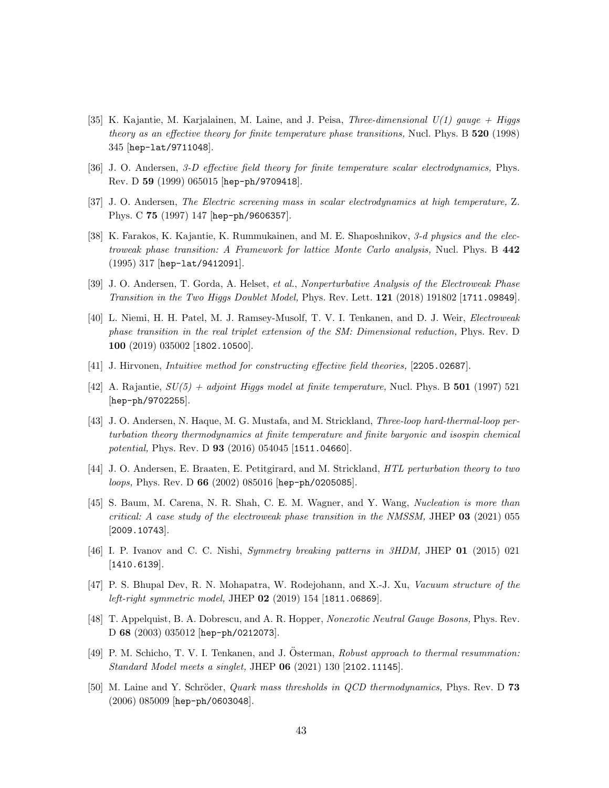- <span id="page-43-0"></span>[35] K. Kajantie, M. Karjalainen, M. Laine, and J. Peisa, *Three-dimensional*  $U(1)$  gauge + Higgs theory as an effective theory for finite temperature phase transitions, Nucl. Phys. B 520 (1998) 345 [[hep-lat/9711048](http://arxiv.org/abs/hep-lat/9711048)].
- <span id="page-43-1"></span>[36] J. O. Andersen, 3-D effective field theory for finite temperature scalar electrodynamics, Phys. Rev. D 59 (1999) 065015 [[hep-ph/9709418](http://arxiv.org/abs/hep-ph/9709418)].
- <span id="page-43-2"></span>[37] J. O. Andersen, The Electric screening mass in scalar electrodynamics at high temperature, Z. Phys. C 75 (1997) 147 [[hep-ph/9606357](http://arxiv.org/abs/hep-ph/9606357)].
- [38] K. Farakos, K. Kajantie, K. Rummukainen, and M. E. Shaposhnikov, 3-d physics and the electroweak phase transition: A Framework for lattice Monte Carlo analysis, Nucl. Phys. B 442 (1995) 317 [[hep-lat/9412091](http://arxiv.org/abs/hep-lat/9412091)].
- <span id="page-43-3"></span>[39] J. O. Andersen, T. Gorda, A. Helset, et al., Nonperturbative Analysis of the Electroweak Phase Transition in the Two Higgs Doublet Model, [Phys. Rev. Lett.](http://dx.doi.org/10.1103/PhysRevLett.121.191802) 121 (2018) 191802 [[1711.09849](http://arxiv.org/abs/1711.09849)].
- [40] L. Niemi, H. H. Patel, M. J. Ramsey-Musolf, T. V. I. Tenkanen, and D. J. Weir, Electroweak phase transition in the real triplet extension of the SM: Dimensional reduction, Phys. Rev. D 100 (2019) 035002 [[1802.10500](http://arxiv.org/abs/1802.10500)].
- <span id="page-43-4"></span>[41] J. Hirvonen, Intuitive method for constructing effective field theories, [[2205.02687](http://arxiv.org/abs/2205.02687)].
- [42] A. Rajantie,  $SU(5) + adjoint Higgs model at finite temperature$ , [Nucl. Phys. B](http://dx.doi.org/10.1016/S0550-3213(97)00362-3) 501 (1997) 521 [[hep-ph/9702255](http://arxiv.org/abs/hep-ph/9702255)].
- <span id="page-43-5"></span>[43] J. O. Andersen, N. Haque, M. G. Mustafa, and M. Strickland, Three-loop hard-thermal-loop perturbation theory thermodynamics at finite temperature and finite baryonic and isospin chemical potential, Phys. Rev. D 93 [\(2016\) 054045](http://dx.doi.org/10.1103/PhysRevD.93.054045) [[1511.04660](http://arxiv.org/abs/1511.04660)].
- <span id="page-43-7"></span><span id="page-43-6"></span>[44] J. O. Andersen, E. Braaten, E. Petitgirard, and M. Strickland, HTL perturbation theory to two loops, Phys. Rev. D 66 [\(2002\) 085016](http://dx.doi.org/10.1103/PhysRevD.66.085016) [[hep-ph/0205085](http://arxiv.org/abs/hep-ph/0205085)].
- [45] S. Baum, M. Carena, N. R. Shah, C. E. M. Wagner, and Y. Wang, Nucleation is more than critical: A case study of the electroweak phase transition in the NMSSM, JHEP  $03$  [\(2021\) 055](http://dx.doi.org/10.1007/JHEP03(2021)055) [[2009.10743](http://arxiv.org/abs/2009.10743)].
- [46] I. P. Ivanov and C. C. Nishi, Symmetry breaking patterns in 3HDM, JHEP 01 [\(2015\) 021](http://dx.doi.org/10.1007/JHEP01(2015)021) [[1410.6139](http://arxiv.org/abs/1410.6139)].
- <span id="page-43-8"></span>[47] P. S. Bhupal Dev, R. N. Mohapatra, W. Rodejohann, and X.-J. Xu, Vacuum structure of the left-right symmetric model, JHEP 02 [\(2019\) 154](http://dx.doi.org/10.1007/JHEP02(2019)154) [[1811.06869](http://arxiv.org/abs/1811.06869)].
- [48] T. Appelquist, B. A. Dobrescu, and A. R. Hopper, Nonexotic Neutral Gauge Bosons, Phys. Rev. D 68 (2003) 035012 [[hep-ph/0212073](http://arxiv.org/abs/hep-ph/0212073)].
- <span id="page-43-9"></span>[49] P. M. Schicho, T. V. I. Tenkanen, and J. Österman, Robust approach to thermal resummation: Standard Model meets a singlet, JHEP 06 [\(2021\) 130](http://dx.doi.org/10.1007/JHEP06(2021)130) [[2102.11145](http://arxiv.org/abs/2102.11145)].
- <span id="page-43-10"></span>[50] M. Laine and Y. Schröder, *Quark mass thresholds in QCD thermodynamics*, Phys. Rev. D 73 (2006) 085009 [[hep-ph/0603048](http://arxiv.org/abs/hep-ph/0603048)].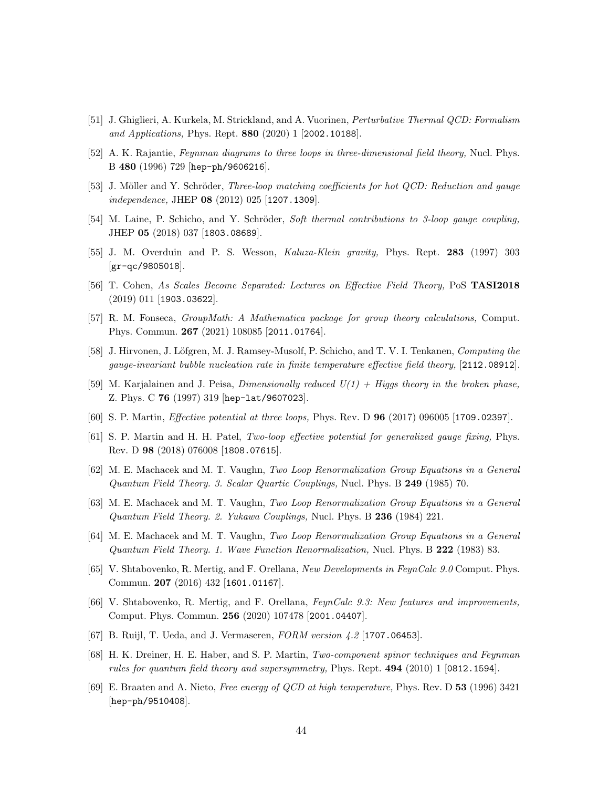- <span id="page-44-4"></span><span id="page-44-3"></span>[51] J. Ghiglieri, A. Kurkela, M. Strickland, and A. Vuorinen, Perturbative Thermal QCD: Formalism and Applications, [Phys. Rept.](http://dx.doi.org/10.1016/j.physrep.2020.07.004) **880** (2020) 1 [[2002.10188](http://arxiv.org/abs/2002.10188)].
- [52] A. K. Rajantie, *Feynman diagrams to three loops in three-dimensional field theory*, Nucl. Phys. B 480 (1996) 729 [[hep-ph/9606216](http://arxiv.org/abs/hep-ph/9606216)].
- <span id="page-44-5"></span>[53] J. Möller and Y. Schröder, Three-loop matching coefficients for hot QCD: Reduction and gauge independence, JHEP 08 [\(2012\) 025](http://dx.doi.org/10.1007/JHEP08(2012)025) [[1207.1309](http://arxiv.org/abs/1207.1309)].
- <span id="page-44-6"></span>[54] M. Laine, P. Schicho, and Y. Schröder, Soft thermal contributions to 3-loop gauge coupling, JHEP 05 [\(2018\) 037](http://dx.doi.org/10.1007/JHEP05(2018)037) [[1803.08689](http://arxiv.org/abs/1803.08689)].
- <span id="page-44-7"></span>[55] J. M. Overduin and P. S. Wesson, Kaluza-Klein gravity, [Phys. Rept.](http://dx.doi.org/10.1016/S0370-1573(96)00046-4) 283 (1997) 303 [[gr-qc/9805018](http://arxiv.org/abs/gr-qc/9805018)].
- <span id="page-44-0"></span>[56] T. Cohen, As Scales Become Separated: Lectures on Effective Field Theory, PoS TASI2018  $(2019)$  011 [[1903.03622](http://arxiv.org/abs/1903.03622)].
- <span id="page-44-8"></span>[57] R. M. Fonseca, GroupMath: A Mathematica package for group theory calculations, Comput. Phys. Commun. 267 (2021) 108085 [[2011.01764](http://arxiv.org/abs/2011.01764)].
- <span id="page-44-9"></span>[58] J. Hirvonen, J. Löfgren, M. J. Ramsey-Musolf, P. Schicho, and T. V. I. Tenkanen, Computing the gauge-invariant bubble nucleation rate in finite temperature effective field theory, [[2112.08912](http://arxiv.org/abs/2112.08912)].
- <span id="page-44-1"></span>[59] M. Karjalainen and J. Peisa, *Dimensionally reduced*  $U(1) + Higgs$  theory in the broken phase, Z. Phys. C 76 [\(1997\) 319](http://dx.doi.org/10.1007/s002880050556) [[hep-lat/9607023](http://arxiv.org/abs/hep-lat/9607023)].
- <span id="page-44-14"></span>[60] S. P. Martin, Effective potential at three loops, Phys. Rev. D 96 [\(2017\) 096005](http://dx.doi.org/10.1103/PhysRevD.96.096005) [[1709.02397](http://arxiv.org/abs/1709.02397)].
- <span id="page-44-16"></span>[61] S. P. Martin and H. H. Patel, Two-loop effective potential for generalized gauge fixing, Phys. Rev. D 98 (2018) 076008 [[1808.07615](http://arxiv.org/abs/1808.07615)].
- [62] M. E. Machacek and M. T. Vaughn, Two Loop Renormalization Group Equations in a General Quantum Field Theory. 3. Scalar Quartic Couplings, [Nucl. Phys. B](http://dx.doi.org/10.1016/0550-3213(85)90040-9) 249 (1985) 70.
- <span id="page-44-2"></span>[63] M. E. Machacek and M. T. Vaughn, Two Loop Renormalization Group Equations in a General Quantum Field Theory. 2. Yukawa Couplings, [Nucl. Phys. B](http://dx.doi.org/10.1016/0550-3213(84)90533-9) 236 (1984) 221.
- <span id="page-44-10"></span>[64] M. E. Machacek and M. T. Vaughn, Two Loop Renormalization Group Equations in a General Quantum Field Theory. 1. Wave Function Renormalization, [Nucl. Phys. B](http://dx.doi.org/10.1016/0550-3213(83)90610-7) 222 (1983) 83.
- <span id="page-44-11"></span>[65] V. Shtabovenko, R. Mertig, and F. Orellana, New Developments in FeynCalc 9.0 Comput. Phys. Commun. 207 (2016) 432 [[1601.01167](http://arxiv.org/abs/1601.01167)].
- [66] V. Shtabovenko, R. Mertig, and F. Orellana, FeynCalc 9.3: New features and improvements, [Comput. Phys. Commun.](http://dx.doi.org/10.1016/j.cpc.2020.107478) 256 (2020) 107478 [[2001.04407](http://arxiv.org/abs/2001.04407)].
- <span id="page-44-13"></span><span id="page-44-12"></span>[67] B. Ruijl, T. Ueda, and J. Vermaseren, FORM version 4.2 [[1707.06453](http://arxiv.org/abs/1707.06453)].
- [68] H. K. Dreiner, H. E. Haber, and S. P. Martin, Two-component spinor techniques and Feynman rules for quantum field theory and supersymmetry, [Phys. Rept.](http://dx.doi.org/10.1016/j.physrep.2010.05.002)  $494$  (2010) 1 [[0812.1594](http://arxiv.org/abs/0812.1594)].
- <span id="page-44-15"></span>[69] E. Braaten and A. Nieto, Free energy of QCD at high temperature, [Phys. Rev. D](http://dx.doi.org/10.1103/PhysRevD.53.3421) 53 (1996) 3421 [[hep-ph/9510408](http://arxiv.org/abs/hep-ph/9510408)].